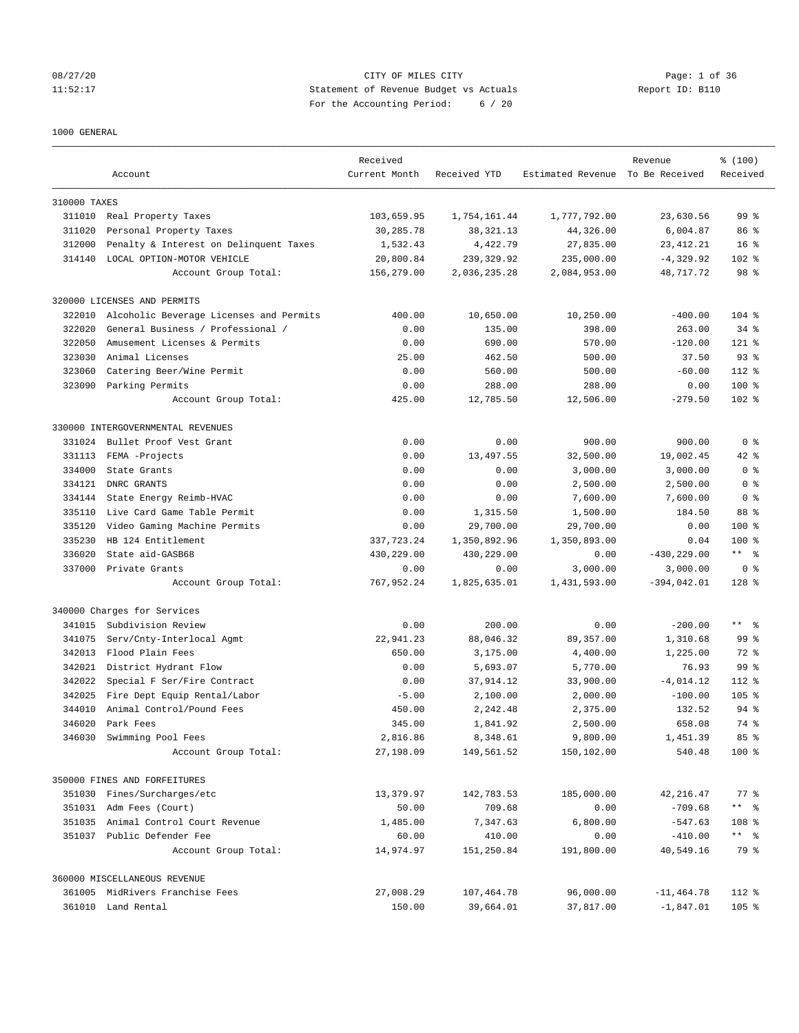# 08/27/20 Page: 1 of 36 11:52:17 Statement of Revenue Budget vs Actuals Report ID: B110 For the Accounting Period: 6 / 20

## 1000 GENERAL

|              | Account                                 | Received<br>Current Month | Received YTD | Estimated Revenue To Be Received | Revenue        | % (100)<br>Received  |
|--------------|-----------------------------------------|---------------------------|--------------|----------------------------------|----------------|----------------------|
| 310000 TAXES |                                         |                           |              |                                  |                |                      |
|              | 311010 Real Property Taxes              | 103,659.95                | 1,754,161.44 | 1,777,792.00                     | 23,630.56      | 99 <sup>8</sup>      |
| 311020       | Personal Property Taxes                 | 30,285.78                 | 38, 321. 13  | 44,326.00                        | 6,004.87       | 86 %                 |
| 312000       | Penalty & Interest on Delinquent Taxes  | 1,532.43                  | 4,422.79     | 27,835.00                        | 23, 412. 21    | 16 <sup>8</sup>      |
| 314140       | LOCAL OPTION-MOTOR VEHICLE              | 20,800.84                 | 239, 329.92  | 235,000.00                       | $-4,329.92$    | 102 %                |
|              | Account Group Total:                    | 156,279.00                | 2,036,235.28 | 2,084,953.00                     | 48,717.72      | 98 %                 |
|              | 320000 LICENSES AND PERMITS             |                           |              |                                  |                |                      |
| 322010       | Alcoholic Beverage Licenses and Permits | 400.00                    | 10,650.00    | 10,250.00                        | $-400.00$      | $104$ %              |
| 322020       | General Business / Professional /       | 0.00                      | 135.00       | 398.00                           | 263.00         | $34$ $%$             |
| 322050       | Amusement Licenses & Permits            | 0.00                      | 690.00       | 570.00                           | $-120.00$      | $121$ %              |
| 323030       | Animal Licenses                         | 25.00                     | 462.50       | 500.00                           | 37.50          | $93$ $%$             |
| 323060       | Catering Beer/Wine Permit               | 0.00                      | 560.00       | 500.00                           | $-60.00$       | 112 %                |
| 323090       | Parking Permits                         | 0.00                      | 288.00       | 288.00                           | 0.00           | $100*$               |
|              | Account Group Total:                    | 425.00                    | 12,785.50    | 12,506.00                        | $-279.50$      | 102 %                |
|              | 330000 INTERGOVERNMENTAL REVENUES       |                           |              |                                  |                |                      |
| 331024       | Bullet Proof Vest Grant                 | 0.00                      | 0.00         | 900.00                           | 900.00         | 0 <sup>8</sup>       |
| 331113       | FEMA -Projects                          | 0.00                      | 13,497.55    | 32,500.00                        | 19,002.45      | 42 %                 |
| 334000       | State Grants                            | 0.00                      | 0.00         | 3,000.00                         | 3,000.00       | 0 <sup>8</sup>       |
| 334121       | DNRC GRANTS                             | 0.00                      | 0.00         | 2,500.00                         | 2,500.00       | 0 <sup>8</sup>       |
| 334144       | State Energy Reimb-HVAC                 | 0.00                      | 0.00         | 7,600.00                         | 7,600.00       | 0 <sup>8</sup>       |
| 335110       | Live Card Game Table Permit             | 0.00                      | 1,315.50     | 1,500.00                         | 184.50         | 88 %                 |
| 335120       | Video Gaming Machine Permits            | 0.00                      | 29,700.00    | 29,700.00                        | 0.00           | 100 %                |
| 335230       | HB 124 Entitlement                      | 337,723.24                | 1,350,892.96 | 1,350,893.00                     | 0.04           | 100 %                |
| 336020       | State aid-GASB68                        | 430,229.00                | 430,229.00   | 0.00                             | $-430, 229.00$ | $***$ $ -$           |
|              | 337000 Private Grants                   | 0.00                      | 0.00         | 3,000.00                         | 3,000.00       | 0 <sup>8</sup>       |
|              | Account Group Total:                    | 767,952.24                | 1,825,635.01 | 1,431,593.00                     | $-394,042.01$  | $128$ %              |
|              | 340000 Charges for Services             |                           |              |                                  |                |                      |
| 341015       | Subdivision Review                      | 0.00                      | 200.00       | 0.00                             | $-200.00$      | $***$ $ \frac{6}{9}$ |
| 341075       | Serv/Cnty-Interlocal Agmt               | 22,941.23                 | 88,046.32    | 89,357.00                        | 1,310.68       | 99 <sup>8</sup>      |
| 342013       | Flood Plain Fees                        | 650.00                    | 3,175.00     | 4,400.00                         | 1,225.00       | 72 %                 |
| 342021       | District Hydrant Flow                   | 0.00                      | 5,693.07     | 5,770.00                         | 76.93          | 99 %                 |
| 342022       | Special F Ser/Fire Contract             | 0.00                      | 37,914.12    | 33,900.00                        | $-4,014.12$    | 112 %                |
| 342025       | Fire Dept Equip Rental/Labor            | $-5.00$                   | 2,100.00     | 2,000.00                         | $-100.00$      | $105$ %              |
| 344010       | Animal Control/Pound Fees               | 450.00                    | 2,242.48     | 2,375.00                         | 132.52         | $94$ $%$             |
| 346020       | Park Fees                               | 345.00                    | 1,841.92     | 2,500.00                         | 658.08         | 74 %                 |
| 346030       | Swimming Pool Fees                      | 2,816.86                  | 8,348.61     | 9,800.00                         | 1,451.39       | 85%                  |
|              | Account Group Total:                    | 27,198.09                 | 149,561.52   | 150,102.00                       | 540.48         | 100 %                |
|              | 350000 FINES AND FORFEITURES            |                           |              |                                  |                |                      |
|              | 351030 Fines/Surcharges/etc             | 13,379.97                 | 142,783.53   | 185,000.00                       | 42, 216.47     | $77$ $%$             |
|              | 351031 Adm Fees (Court)                 | 50.00                     | 709.68       | 0.00                             | $-709.68$      | $***$ $ -$           |
|              | 351035 Animal Control Court Revenue     | 1,485.00                  | 7,347.63     | 6,800.00                         | $-547.63$      | 108 %                |
| 351037       | Public Defender Fee                     | 60.00                     | 410.00       | 0.00                             | $-410.00$      | ** %                 |
|              | Account Group Total:                    | 14,974.97                 | 151,250.84   | 191,800.00                       | 40,549.16      | 79 %                 |
|              | 360000 MISCELLANEOUS REVENUE            |                           |              |                                  |                |                      |
|              | 361005 MidRivers Franchise Fees         | 27,008.29                 | 107,464.78   | 96,000.00                        | $-11, 464.78$  | 112 %                |
|              | 361010 Land Rental                      | 150.00                    | 39,664.01    | 37,817.00                        | $-1,847.01$    | 105%                 |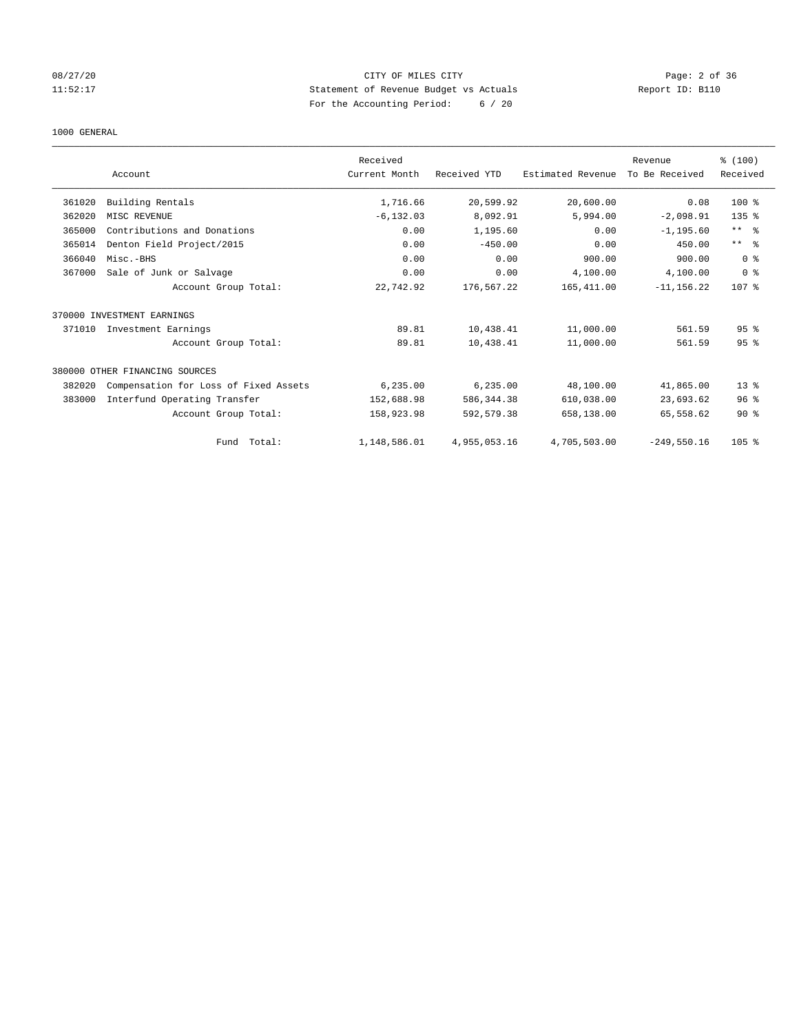# 08/27/20 Page: 2 of 36 11:52:17 Statement of Revenue Budget vs Actuals Report ID: B110 For the Accounting Period: 6 / 20

### 1000 GENERAL

|        |                                       | Received      |              |                   | Revenue        | % (100)                 |
|--------|---------------------------------------|---------------|--------------|-------------------|----------------|-------------------------|
|        | Account                               | Current Month | Received YTD | Estimated Revenue | To Be Received | Received                |
| 361020 | Building Rentals                      | 1,716.66      | 20,599.92    | 20,600.00         | 0.08           | 100 %                   |
| 362020 | MISC REVENUE                          | $-6, 132.03$  | 8,092.91     | 5,994.00          | $-2,098.91$    | 135 <sub>8</sub>        |
| 365000 | Contributions and Donations           | 0.00          | 1,195.60     | 0.00              | $-1, 195.60$   | $***$ $ -$              |
| 365014 | Denton Field Project/2015             | 0.00          | $-450.00$    | 0.00              | 450.00         | $***$ $=$ $\frac{6}{5}$ |
| 366040 | Misc.-BHS                             | 0.00          | 0.00         | 900.00            | 900.00         | 0 <sup>8</sup>          |
| 367000 | Sale of Junk or Salvage               | 0.00          | 0.00         | 4,100.00          | 4,100.00       | 0 <sup>8</sup>          |
|        | Account Group Total:                  | 22,742.92     | 176,567.22   | 165,411.00        | $-11, 156.22$  | 107 <sub>8</sub>        |
|        | 370000 INVESTMENT EARNINGS            |               |              |                   |                |                         |
| 371010 | Investment Earnings                   | 89.81         | 10,438.41    | 11,000.00         | 561.59         | 95 <sup>°</sup>         |
|        | Account Group Total:                  | 89.81         | 10,438.41    | 11,000.00         | 561.59         | 95 <sup>°</sup>         |
|        | 380000 OTHER FINANCING SOURCES        |               |              |                   |                |                         |
| 382020 | Compensation for Loss of Fixed Assets | 6, 235.00     | 6,235.00     | 48,100.00         | 41,865.00      | $13*$                   |
| 383000 | Interfund Operating Transfer          | 152,688.98    | 586, 344.38  | 610,038.00        | 23,693.62      | 96 <sup>8</sup>         |
|        | Account Group Total:                  | 158,923.98    | 592,579.38   | 658,138.00        | 65,558.62      | $90*$                   |
|        | Total:<br>Fund                        | 1,148,586.01  | 4,955,053.16 | 4,705,503.00      | $-249.550.16$  | 105 <sub>8</sub>        |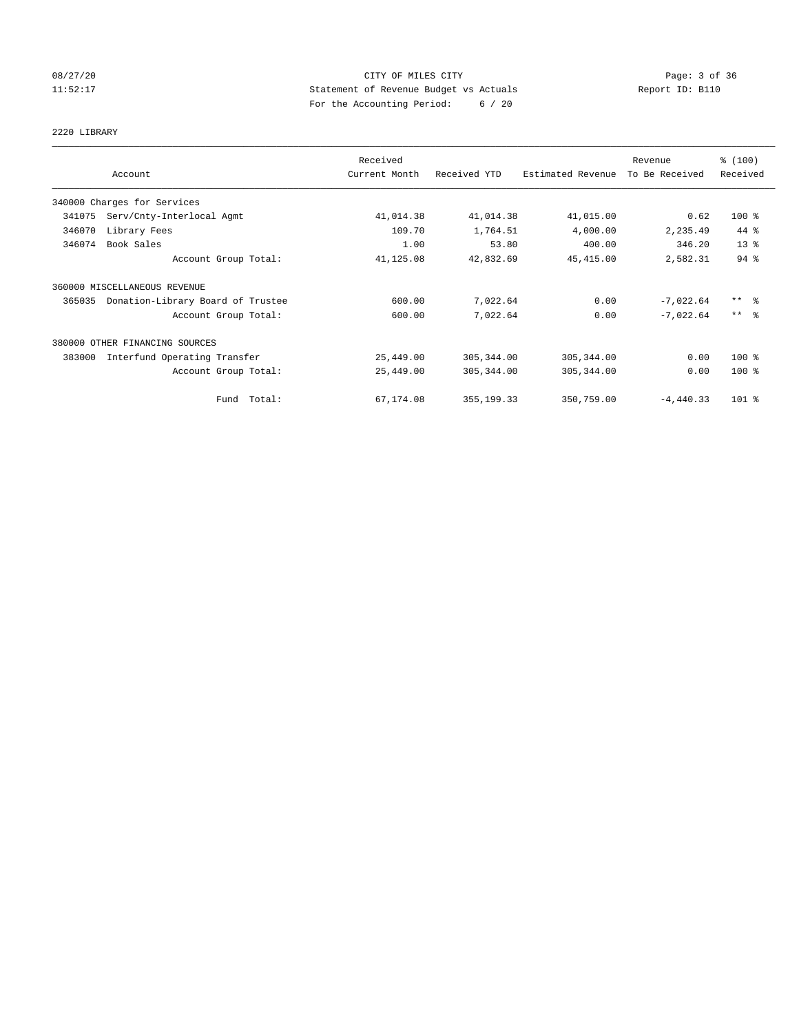# 08/27/20 Page: 3 of 36 11:52:17 Statement of Revenue Budget vs Actuals Report ID: B110 For the Accounting Period: 6 / 20

## 2220 LIBRARY

|        |                                   | Received      |              |                   | Revenue        | % (100)             |
|--------|-----------------------------------|---------------|--------------|-------------------|----------------|---------------------|
|        | Account                           | Current Month | Received YTD | Estimated Revenue | To Be Received | Received            |
|        | 340000 Charges for Services       |               |              |                   |                |                     |
| 341075 | Serv/Cnty-Interlocal Agmt         | 41,014.38     | 41,014.38    | 41,015.00         | 0.62           | 100 %               |
| 346070 | Library Fees                      | 109.70        | 1,764.51     | 4,000.00          | 2,235.49       | 44 %                |
| 346074 | Book Sales                        | 1.00          | 53.80        | 400.00            | 346.20         | 13 <sup>°</sup>     |
|        | Account Group Total:              | 41,125.08     | 42,832.69    | 45, 415.00        | 2,582.31       | 94%                 |
|        | 360000 MISCELLANEOUS REVENUE      |               |              |                   |                |                     |
| 365035 | Donation-Library Board of Trustee | 600.00        | 7,022.64     | 0.00              | $-7,022.64$    | $***$ $\frac{6}{5}$ |
|        | Account Group Total:              | 600.00        | 7,022.64     | 0.00              | $-7.022.64$    | $***$ 8             |
|        | 380000 OTHER FINANCING SOURCES    |               |              |                   |                |                     |
| 383000 | Interfund Operating Transfer      | 25,449.00     | 305, 344.00  | 305, 344.00       | 0.00           | $100$ %             |
|        | Account Group Total:              | 25,449.00     | 305, 344.00  | 305, 344.00       | 0.00           | $100$ %             |
|        | Fund Total:                       | 67,174.08     | 355, 199. 33 | 350,759.00        | $-4,440.33$    | $101$ %             |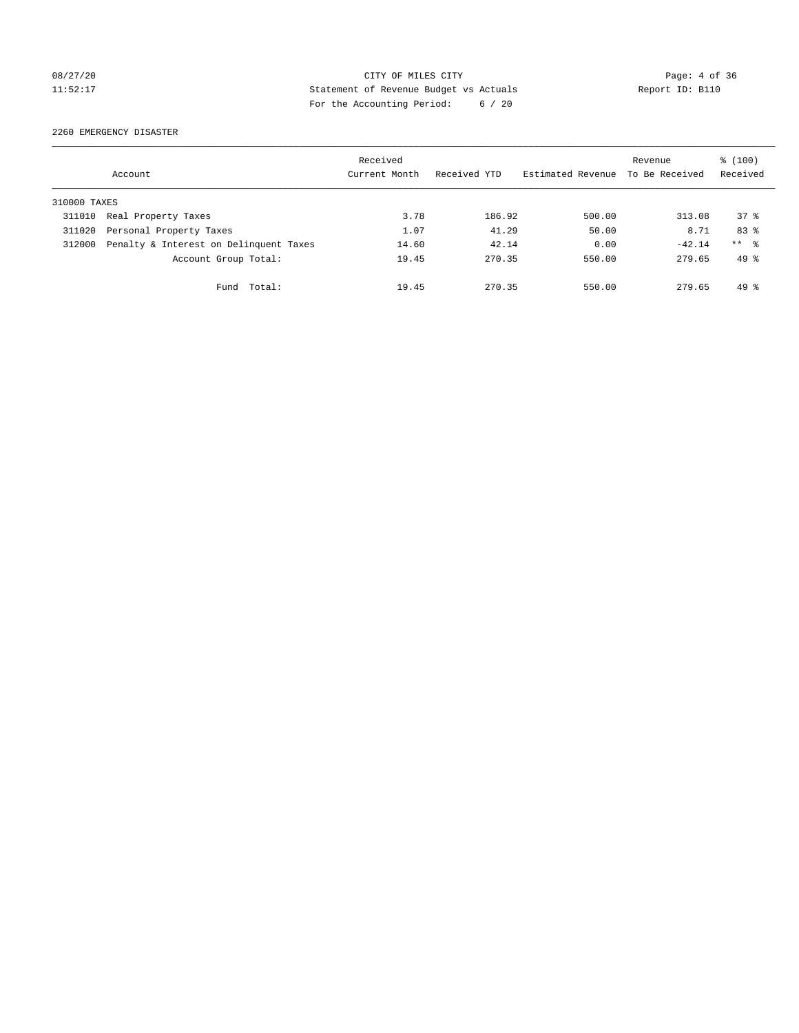# 08/27/20 CITY OF MILES CITY Page: 4 of 36 11:52:17 Statement of Revenue Budget vs Actuals Report ID: B110 For the Accounting Period: 6 / 20

2260 EMERGENCY DISASTER

|              | Account                                | Received<br>Current Month | Received YTD | Estimated Revenue | Revenue<br>To Be Received | $\frac{100}{3}$<br>Received |
|--------------|----------------------------------------|---------------------------|--------------|-------------------|---------------------------|-----------------------------|
| 310000 TAXES |                                        |                           |              |                   |                           |                             |
| 311010       | Real Property Taxes                    | 3.78                      | 186.92       | 500.00            | 313.08                    | 378                         |
| 311020       | Personal Property Taxes                | 1.07                      | 41.29        | 50.00             | 8.71                      | 83 %                        |
| 312000       | Penalty & Interest on Delinquent Taxes | 14.60                     | 42.14        | 0.00              | $-42.14$                  | $***$ 8                     |
|              | Account Group Total:                   | 19.45                     | 270.35       | 550.00            | 279.65                    | $49*$                       |
|              | Total:<br>Fund                         | 19.45                     | 270.35       | 550.00            | 279.65                    | $49*$                       |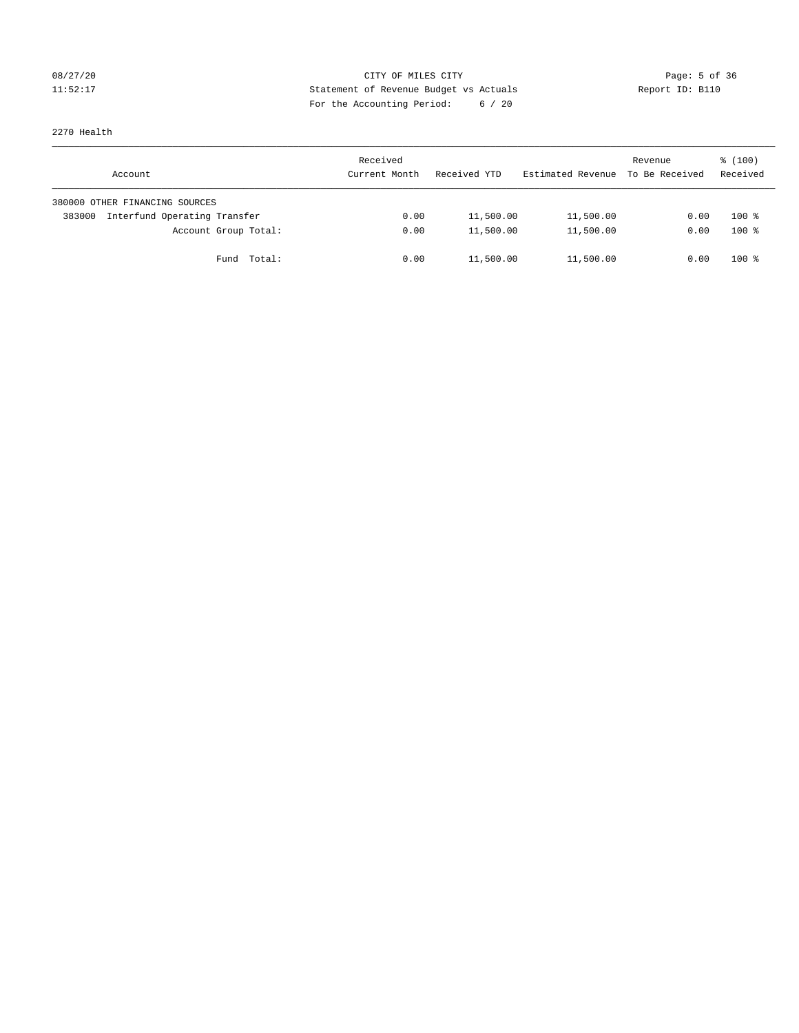# 08/27/20 **Page: 5 of 36** CITY OF MILES CITY CONTROL Page: 5 of 36 11:52:17 Statement of Revenue Budget vs Actuals Report ID: B110 For the Accounting Period: 6 / 20

2270 Health

| Account                                | Received<br>Current Month | Received YTD | Estimated Revenue | Revenue<br>To Be Received | \$(100)<br>Received |
|----------------------------------------|---------------------------|--------------|-------------------|---------------------------|---------------------|
| 380000 OTHER FINANCING SOURCES         |                           |              |                   |                           |                     |
| Interfund Operating Transfer<br>383000 | 0.00                      | 11,500.00    | 11,500.00         | 0.00                      | $100*$              |
| Account Group Total:                   | 0.00                      | 11,500.00    | 11,500.00         | 0.00                      | $100*$              |
| Fund Total:                            | 0.00                      | 11,500.00    | 11,500.00         | 0.00                      | $100*$              |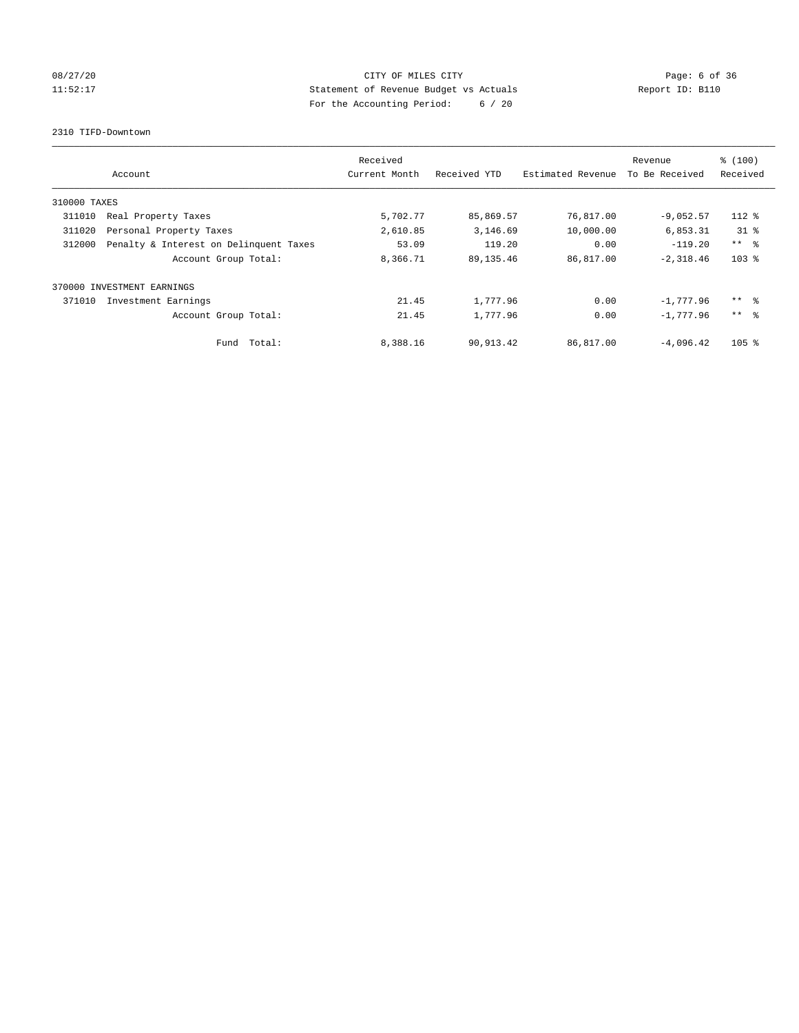# 08/27/20 **Page: 6 of 36 CITY OF MILES CITY CITY Page: 6 of 36** 11:52:17 Statement of Revenue Budget vs Actuals Report ID: B110 For the Accounting Period: 6 / 20

2310 TIFD-Downtown

|              | Account                                | Received<br>Current Month | Received YTD | Estimated Revenue | Revenue<br>To Be Received | % (100)<br>Received |
|--------------|----------------------------------------|---------------------------|--------------|-------------------|---------------------------|---------------------|
| 310000 TAXES |                                        |                           |              |                   |                           |                     |
| 311010       | Real Property Taxes                    | 5,702.77                  | 85,869.57    | 76,817.00         | $-9,052.57$               | 112 %               |
| 311020       | Personal Property Taxes                | 2,610.85                  | 3,146.69     | 10,000.00         | 6,853.31                  | $31$ %              |
| 312000       | Penalty & Interest on Delinquent Taxes | 53.09                     | 119.20       | 0.00              | $-119.20$                 | $***$ $\approx$     |
|              | Account Group Total:                   | 8,366.71                  | 89, 135.46   | 86,817.00         | $-2,318.46$               | $103$ $%$           |
|              | 370000 INVESTMENT EARNINGS             |                           |              |                   |                           |                     |
| 371010       | Investment Earnings                    | 21.45                     | 1,777.96     | 0.00              | $-1.777.96$               | $***$ %             |
|              | Account Group Total:                   | 21.45                     | 1,777.96     | 0.00              | $-1.777.96$               | $***$ $\approx$     |
|              | Fund Total:                            | 8,388.16                  | 90,913.42    | 86,817.00         | $-4.096.42$               | 105 <sub>8</sub>    |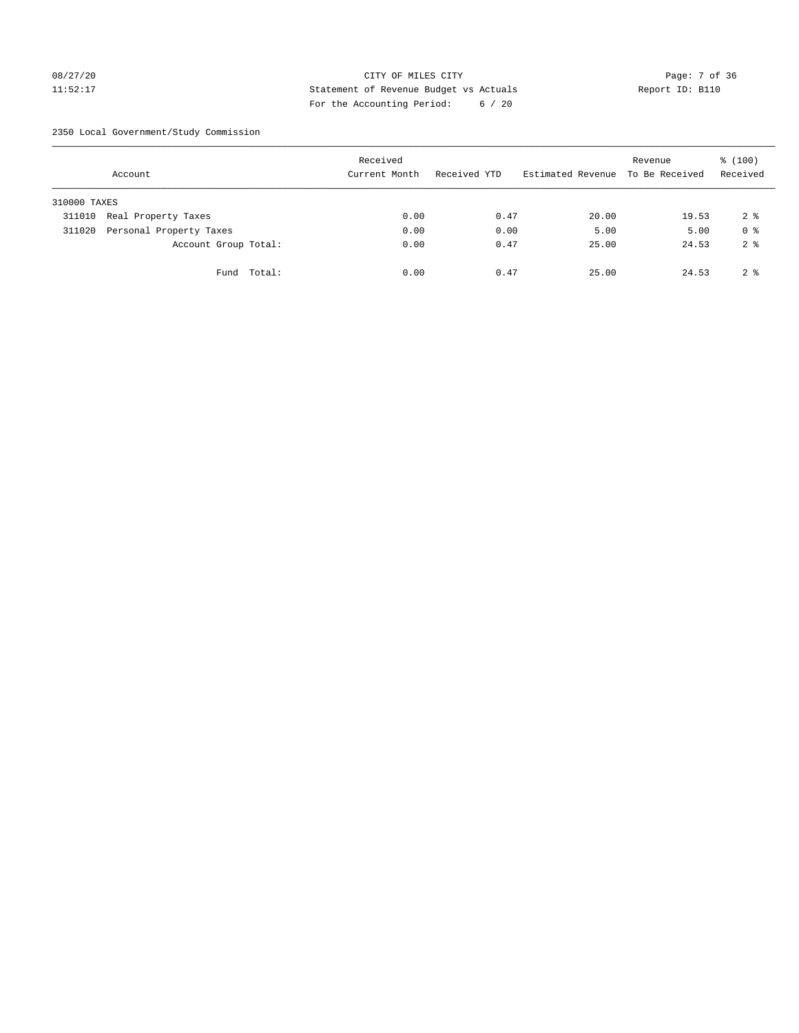# 08/27/20 Page: 7 of 36 11:52:17 Statement of Revenue Budget vs Actuals Report ID: B110 For the Accounting Period: 6 / 20

2350 Local Government/Study Commission

|              | Account                 |             | Received<br>Current Month |      | Received YTD |      | Estimated Revenue To Be Received | Revenue | \$(100)<br>Received |
|--------------|-------------------------|-------------|---------------------------|------|--------------|------|----------------------------------|---------|---------------------|
| 310000 TAXES |                         |             |                           |      |              |      |                                  |         |                     |
| 311010       | Real Property Taxes     |             |                           | 0.00 |              | 0.47 | 20.00                            | 19.53   | 2 <sub>8</sub>      |
| 311020       | Personal Property Taxes |             |                           | 0.00 |              | 0.00 | 5.00                             | 5.00    | 0 <sup>8</sup>      |
|              | Account Group Total:    |             |                           | 0.00 |              | 0.47 | 25.00                            | 24.53   | 2 <sup>8</sup>      |
|              |                         | Fund Total: |                           | 0.00 |              | 0.47 | 25.00                            | 24.53   | 2 <sup>8</sup>      |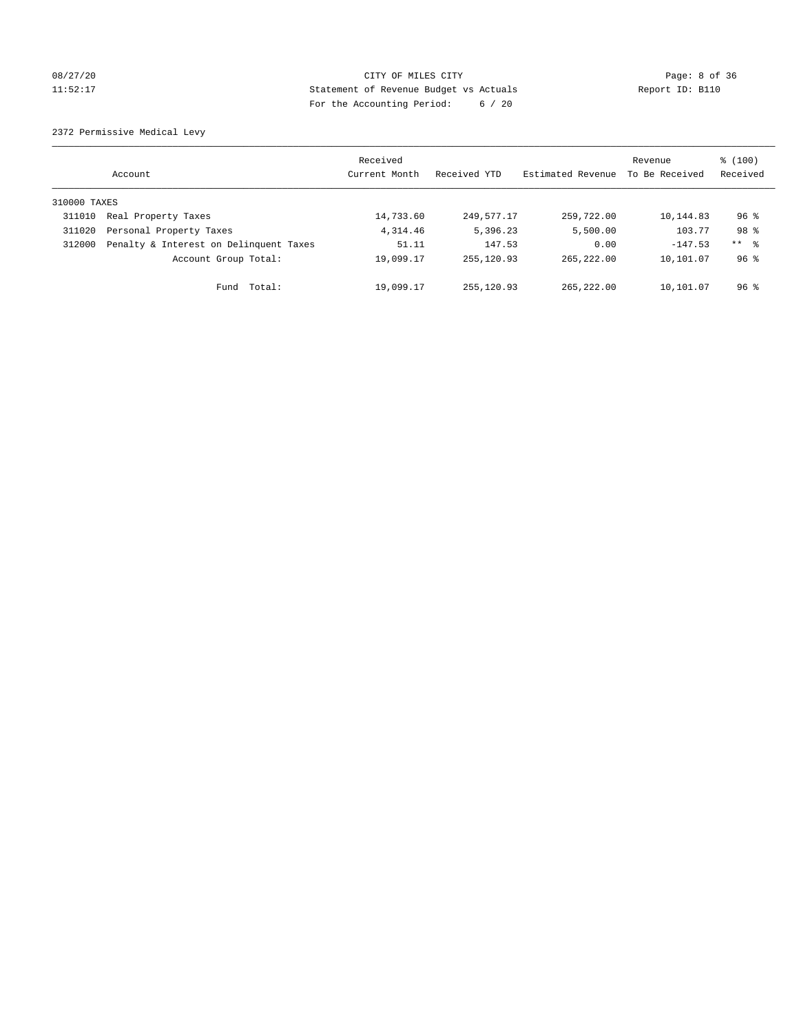# 08/27/20 Page: 8 of 36 11:52:17 Statement of Revenue Budget vs Actuals Report ID: B110 For the Accounting Period: 6 / 20

2372 Permissive Medical Levy

|              | Account                                | Received<br>Current Month | Received YTD | Estimated Revenue | Revenue<br>To Be Received | % (100)<br>Received |
|--------------|----------------------------------------|---------------------------|--------------|-------------------|---------------------------|---------------------|
| 310000 TAXES |                                        |                           |              |                   |                           |                     |
| 311010       | Real Property Taxes                    | 14,733.60                 | 249,577.17   | 259,722.00        | 10,144.83                 | $96$ %              |
| 311020       | Personal Property Taxes                | 4,314.46                  | 5,396.23     | 5,500.00          | 103.77                    | 98 %                |
| 312000       | Penalty & Interest on Delinquent Taxes | 51.11                     | 147.53       | 0.00              | $-147.53$                 | $***$ $\frac{6}{5}$ |
|              | Account Group Total:                   | 19,099.17                 | 255, 120.93  | 265, 222, 00      | 10,101.07                 | $96*$               |
|              | Fund Total:                            | 19,099.17                 | 255,120.93   | 265,222.00        | 10,101.07                 | $96$ %              |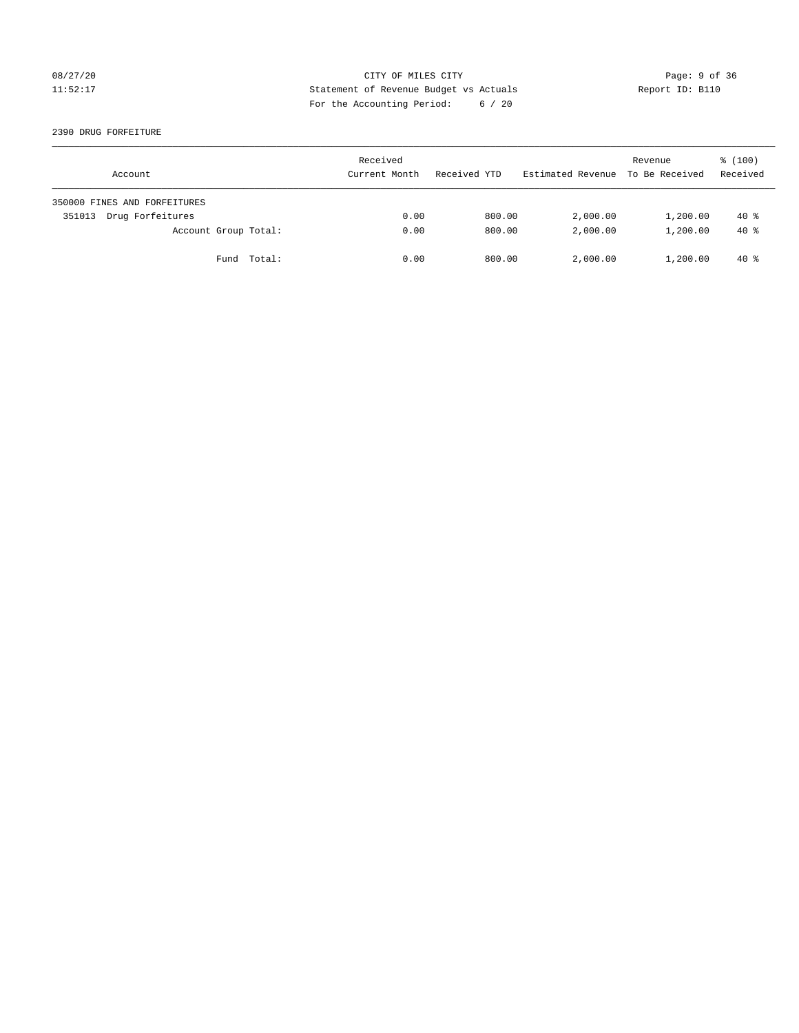# 08/27/20 CITY OF MILES CITY Page: 9 of 36 11:52:17 Statement of Revenue Budget vs Actuals Report ID: B110 For the Accounting Period: 6 / 20

## 2390 DRUG FORFEITURE

| Account                      | Received<br>Current Month | Received YTD | Estimated Revenue | Revenue<br>To Be Received | $\frac{100}{3}$<br>Received |
|------------------------------|---------------------------|--------------|-------------------|---------------------------|-----------------------------|
| 350000 FINES AND FORFEITURES |                           |              |                   |                           |                             |
| Drug Forfeitures<br>351013   | 0.00                      | 800.00       | 2,000.00          | 1,200.00                  | $40*$                       |
| Account Group Total:         | 0.00                      | 800.00       | 2,000.00          | 1,200.00                  | $40*$                       |
| Fund Total:                  | 0.00                      | 800.00       | 2,000.00          | 1,200.00                  | 40 %                        |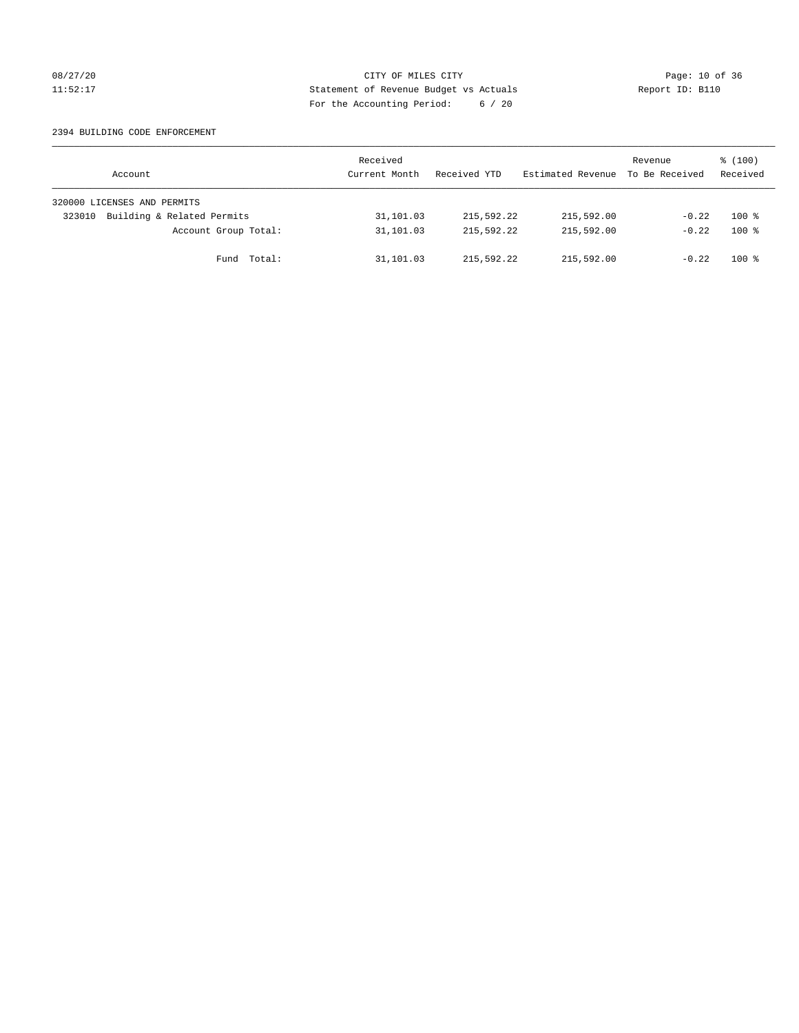# 08/27/20 Page: 10 of 36 11:52:17 Statement of Revenue Budget vs Actuals Report ID: B110 For the Accounting Period: 6 / 20

## 2394 BUILDING CODE ENFORCEMENT

| Account                              | Received<br>Current Month | Received YTD | Estimated Revenue To Be Received | Revenue | $\frac{100}{3}$<br>Received |
|--------------------------------------|---------------------------|--------------|----------------------------------|---------|-----------------------------|
| 320000 LICENSES AND PERMITS          |                           |              |                                  |         |                             |
| Building & Related Permits<br>323010 | 31,101.03                 | 215,592.22   | 215,592.00                       | $-0.22$ | $100*$                      |
| Account Group Total:                 | 31,101.03                 | 215,592.22   | 215,592.00                       | $-0.22$ | $100*$                      |
| Fund Total:                          | 31,101.03                 | 215,592.22   | 215,592.00                       | $-0.22$ | $100*$                      |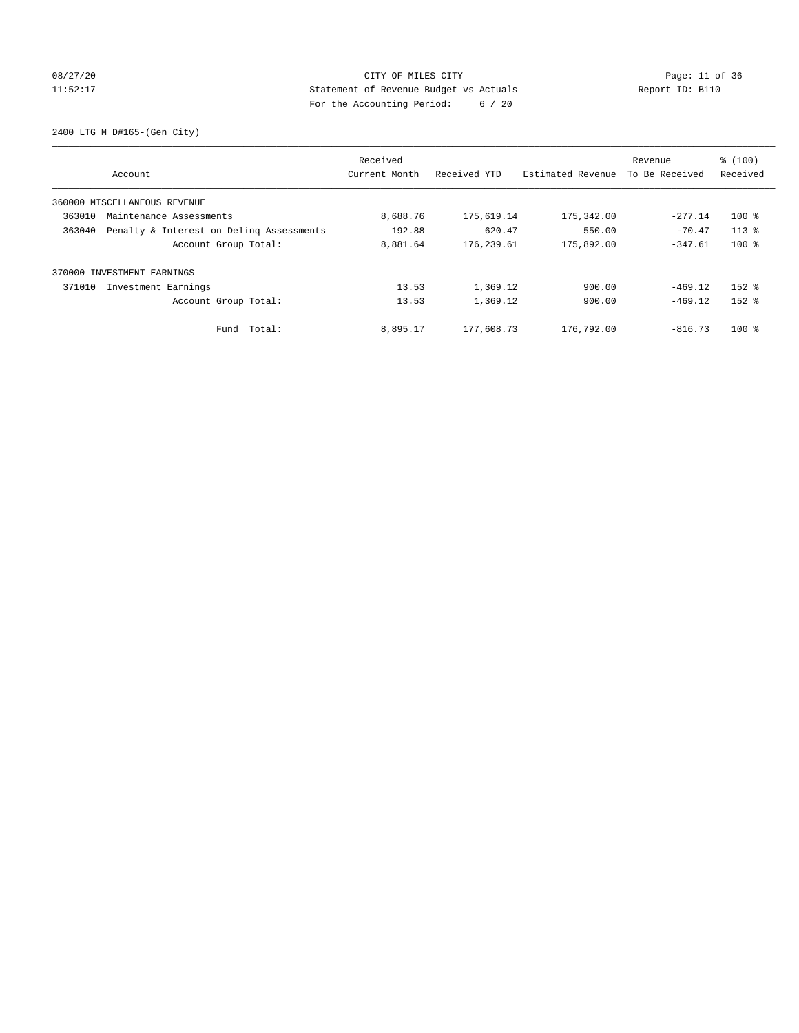# 08/27/20 Page: 11 of 36 11:52:17 Statement of Revenue Budget vs Actuals Report ID: B110 For the Accounting Period: 6 / 20

2400 LTG M D#165-(Gen City)

|                                                    | Received      |              |                   | Revenue        | % (100)   |
|----------------------------------------------------|---------------|--------------|-------------------|----------------|-----------|
| Account                                            | Current Month | Received YTD | Estimated Revenue | To Be Received | Received  |
| 360000 MISCELLANEOUS REVENUE                       |               |              |                   |                |           |
| 363010<br>Maintenance Assessments                  | 8,688.76      | 175,619.14   | 175,342.00        | $-277.14$      | $100*$    |
| Penalty & Interest on Deling Assessments<br>363040 | 192.88        | 620.47       | 550.00            | $-70.47$       | $113*$    |
| Account Group Total:                               | 8,881.64      | 176, 239.61  | 175,892.00        | $-347.61$      | $100$ %   |
| 370000 INVESTMENT EARNINGS                         |               |              |                   |                |           |
| 371010<br>Investment Earnings                      | 13.53         | 1,369.12     | 900.00            | $-469.12$      | $152$ $%$ |
| Account Group Total:                               | 13.53         | 1,369.12     | 900.00            | $-469.12$      | $152$ $%$ |
| Total:<br>Fund                                     | 8,895.17      | 177,608.73   | 176,792.00        | $-816.73$      | $100*$    |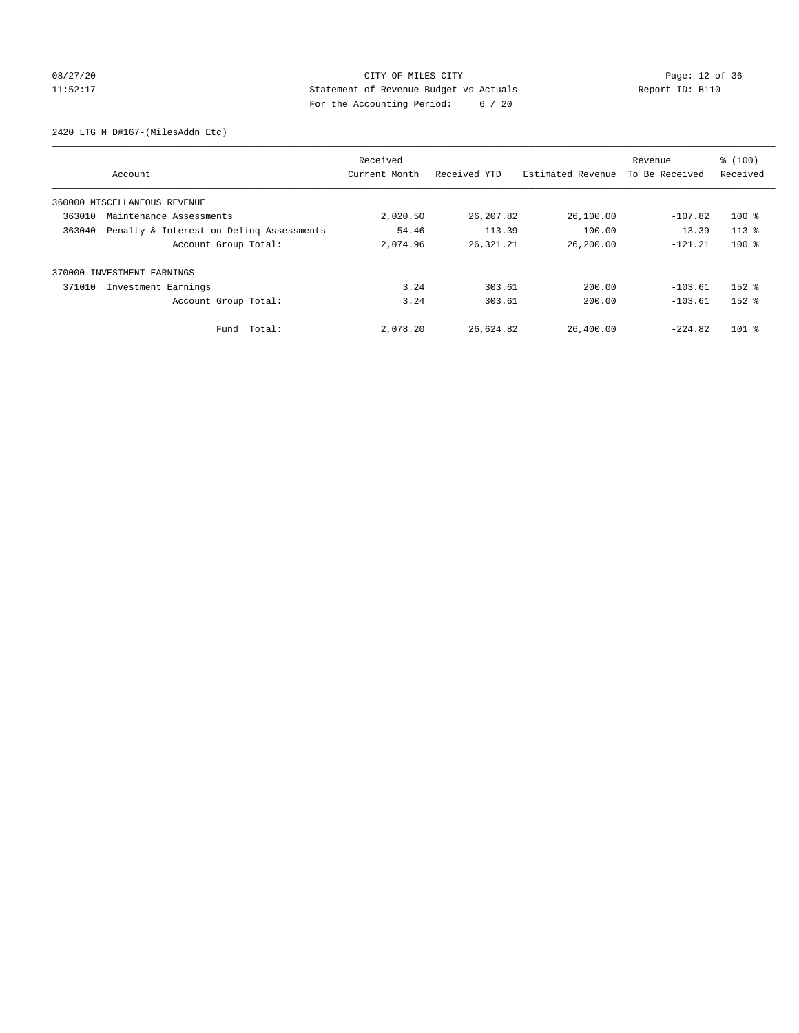# 08/27/20 Page: 12 of 36 11:52:17 Statement of Revenue Budget vs Actuals Report ID: B110 For the Accounting Period: 6 / 20

2420 LTG M D#167-(MilesAddn Etc)

| Account                                            | Received<br>Current Month | Received YTD | Estimated Revenue | Revenue<br>To Be Received | % (100)<br>Received |
|----------------------------------------------------|---------------------------|--------------|-------------------|---------------------------|---------------------|
| 360000 MISCELLANEOUS REVENUE                       |                           |              |                   |                           |                     |
| 363010<br>Maintenance Assessments                  | 2,020.50                  | 26, 207.82   | 26,100.00         | $-107.82$                 | $100*$              |
| Penalty & Interest on Deling Assessments<br>363040 | 54.46                     | 113.39       | 100.00            | $-13.39$                  | $113*$              |
| Account Group Total:                               | 2,074.96                  | 26,321.21    | 26,200.00         | $-121.21$                 | $100*$              |
| INVESTMENT EARNINGS<br>370000                      |                           |              |                   |                           |                     |
| 371010<br>Investment Earnings                      | 3.24                      | 303.61       | 200.00            | $-103.61$                 | $152$ $%$           |
| Account Group Total:                               | 3.24                      | 303.61       | 200.00            | $-103.61$                 | $152$ $%$           |
| Fund Total:                                        | 2,078.20                  | 26,624.82    | 26,400.00         | $-224.82$                 | $101$ %             |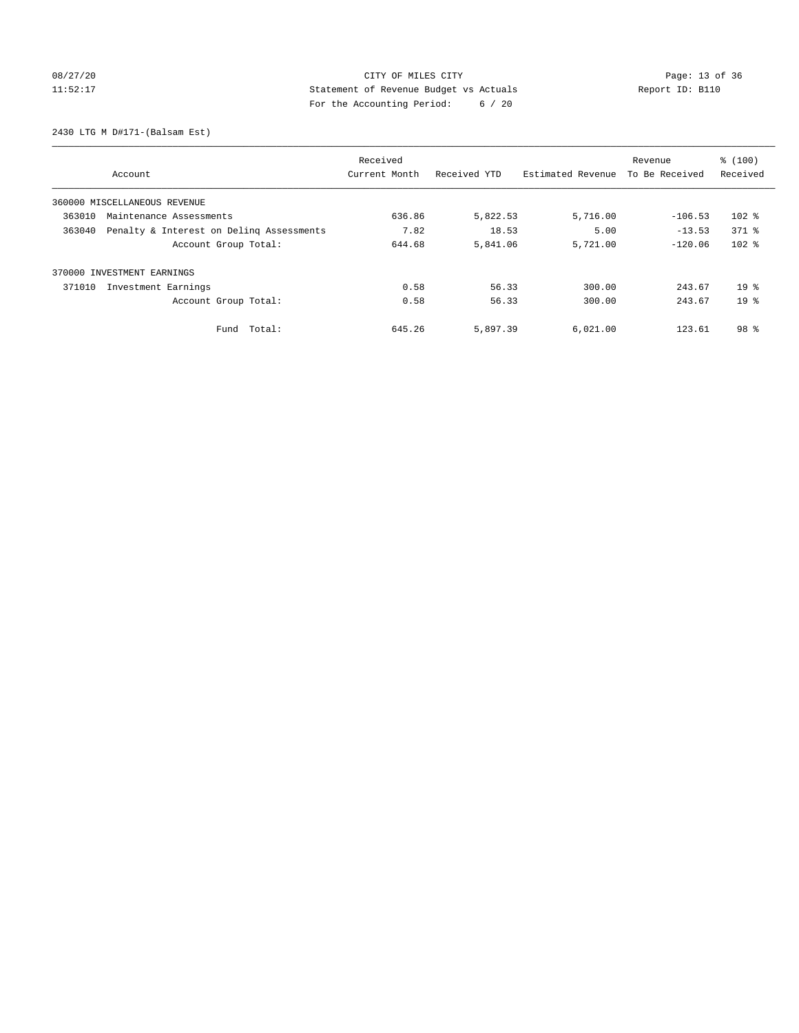# 08/27/20 Page: 13 of 36 CITY OF MILES CITY CONTROL PAGE: 13 of 36 11:52:17 Statement of Revenue Budget vs Actuals Report ID: B110 For the Accounting Period: 6 / 20

2430 LTG M D#171-(Balsam Est)

|        |                                          | Received      |              |                   | Revenue        | % (100)         |
|--------|------------------------------------------|---------------|--------------|-------------------|----------------|-----------------|
|        | Account                                  | Current Month | Received YTD | Estimated Revenue | To Be Received | Received        |
|        | 360000 MISCELLANEOUS REVENUE             |               |              |                   |                |                 |
| 363010 | Maintenance Assessments                  | 636.86        | 5,822.53     | 5,716.00          | $-106.53$      | $102$ %         |
| 363040 | Penalty & Interest on Deling Assessments | 7.82          | 18.53        | 5.00              | $-13.53$       | $371$ $%$       |
|        | Account Group Total:                     | 644.68        | 5,841.06     | 5,721.00          | $-120.06$      | $102$ %         |
|        | 370000 INVESTMENT EARNINGS               |               |              |                   |                |                 |
| 371010 | Investment Earnings                      | 0.58          | 56.33        | 300.00            | 243.67         | 19 <sup>8</sup> |
|        | Account Group Total:                     | 0.58          | 56.33        | 300.00            | 243.67         | $19*$           |
|        | Total:<br>Fund                           | 645.26        | 5,897.39     | 6,021.00          | 123.61         | 98 <sup>8</sup> |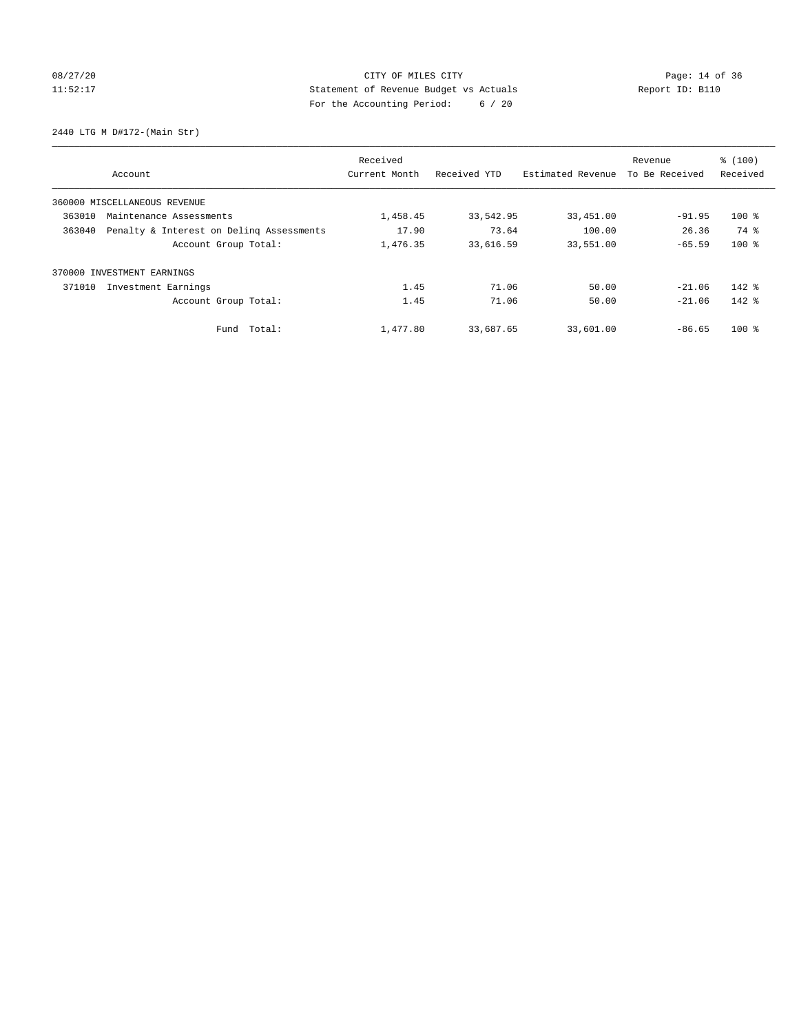# 08/27/20 Page: 14 of 36 11:52:17 Statement of Revenue Budget vs Actuals Report ID: B110 For the Accounting Period: 6 / 20

2440 LTG M D#172-(Main Str)

| Account                                            | Received<br>Current Month | Received YTD | Estimated Revenue | Revenue<br>To Be Received | % (100)<br>Received |
|----------------------------------------------------|---------------------------|--------------|-------------------|---------------------------|---------------------|
| 360000 MISCELLANEOUS REVENUE                       |                           |              |                   |                           |                     |
| 363010<br>Maintenance Assessments                  | 1,458.45                  | 33,542.95    | 33,451.00         | $-91.95$                  | $100$ %             |
| Penalty & Interest on Deling Assessments<br>363040 | 17.90                     | 73.64        | 100.00            | 26.36                     | 74 %                |
| Account Group Total:                               | 1,476.35                  | 33,616.59    | 33,551.00         | $-65.59$                  | $100*$              |
| INVESTMENT EARNINGS<br>370000                      |                           |              |                   |                           |                     |
| 371010<br>Investment Earnings                      | 1.45                      | 71.06        | 50.00             | $-21.06$                  | $142$ $%$           |
| Account Group Total:                               | 1.45                      | 71.06        | 50.00             | $-21.06$                  | $142$ %             |
| Fund Total:                                        | 1,477.80                  | 33,687.65    | 33,601.00         | $-86.65$                  | $100*$              |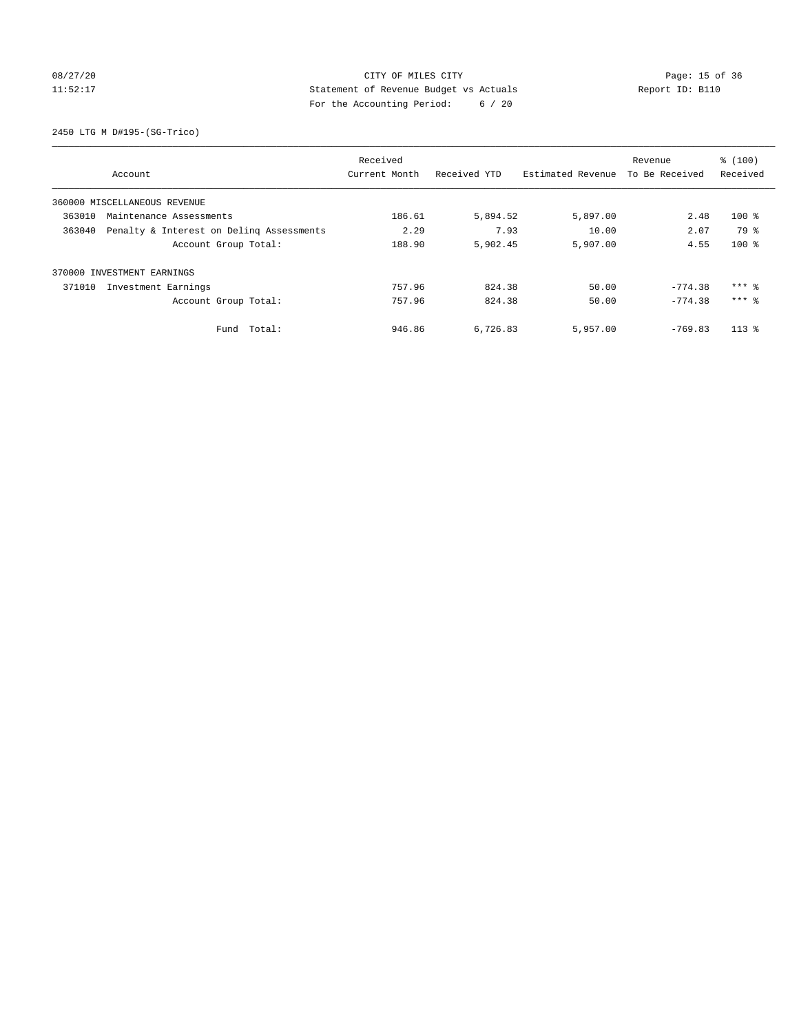# 08/27/20 Page: 15 of 36 11:52:17 Statement of Revenue Budget vs Actuals Report ID: B110 For the Accounting Period: 6 / 20

2450 LTG M D#195-(SG-Trico)

|                                                    | Received      |              | Revenue           |                | % (100)             |
|----------------------------------------------------|---------------|--------------|-------------------|----------------|---------------------|
| Account                                            | Current Month | Received YTD | Estimated Revenue | To Be Received | Received            |
| 360000 MISCELLANEOUS REVENUE                       |               |              |                   |                |                     |
| 363010<br>Maintenance Assessments                  | 186.61        | 5,894.52     | 5,897.00          | 2.48           | $100$ %             |
| Penalty & Interest on Deling Assessments<br>363040 | 2.29          | 7.93         | 10.00             | 2.07           | 79 %                |
| Account Group Total:                               | 188.90        | 5,902.45     | 5,907.00          | 4.55           | $100*$              |
| 370000 INVESTMENT EARNINGS                         |               |              |                   |                |                     |
| 371010<br>Investment Earnings                      | 757.96        | 824.38       | 50.00             | $-774.38$      | $***$ $%$           |
| Account Group Total:                               | 757.96        | 824.38       | 50.00             | $-774.38$      | $***$ $\frac{6}{5}$ |
| Total:<br>Fund                                     | 946.86        | 6,726.83     | 5,957.00          | $-769.83$      | $113*$              |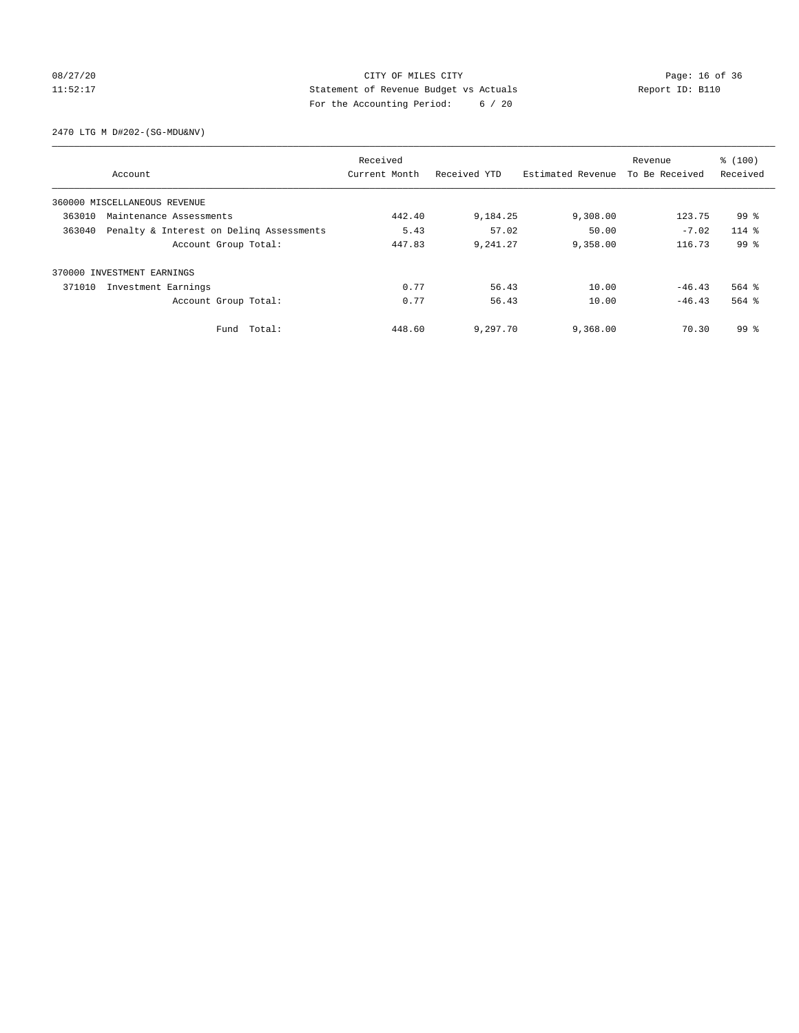# 08/27/20 Page: 16 of 36 CITY OF MILES CITY CONTROL PAGE: 16 of 36 11:52:17 Statement of Revenue Budget vs Actuals Report ID: B110 For the Accounting Period: 6 / 20

2470 LTG M D#202-(SG-MDU&NV)

|        |                                          | Received      |              |                   | Revenue        | % (100)         |
|--------|------------------------------------------|---------------|--------------|-------------------|----------------|-----------------|
|        | Account                                  | Current Month | Received YTD | Estimated Revenue | To Be Received | Received        |
|        | 360000 MISCELLANEOUS REVENUE             |               |              |                   |                |                 |
| 363010 | Maintenance Assessments                  |               | 9,184.25     | 9,308.00          | 123.75         | 99 %            |
| 363040 | Penalty & Interest on Deling Assessments | 5.43          | 57.02        | 50.00             | $-7.02$        | $114$ %         |
|        | Account Group Total:                     | 447.83        | 9,241.27     | 9,358.00          | 116.73         | 99 <sup>8</sup> |
|        | 370000 INVESTMENT EARNINGS               |               |              |                   |                |                 |
| 371010 | Investment Earnings                      | 0.77          | 56.43        | 10.00             | $-46.43$       | $564$ $%$       |
|        | Account Group Total:                     | 0.77          | 56.43        | 10.00             | $-46.43$       | $564$ $%$       |
|        | Fund Total:                              | 448.60        | 9,297.70     | 9,368.00          | 70.30          | 99 %            |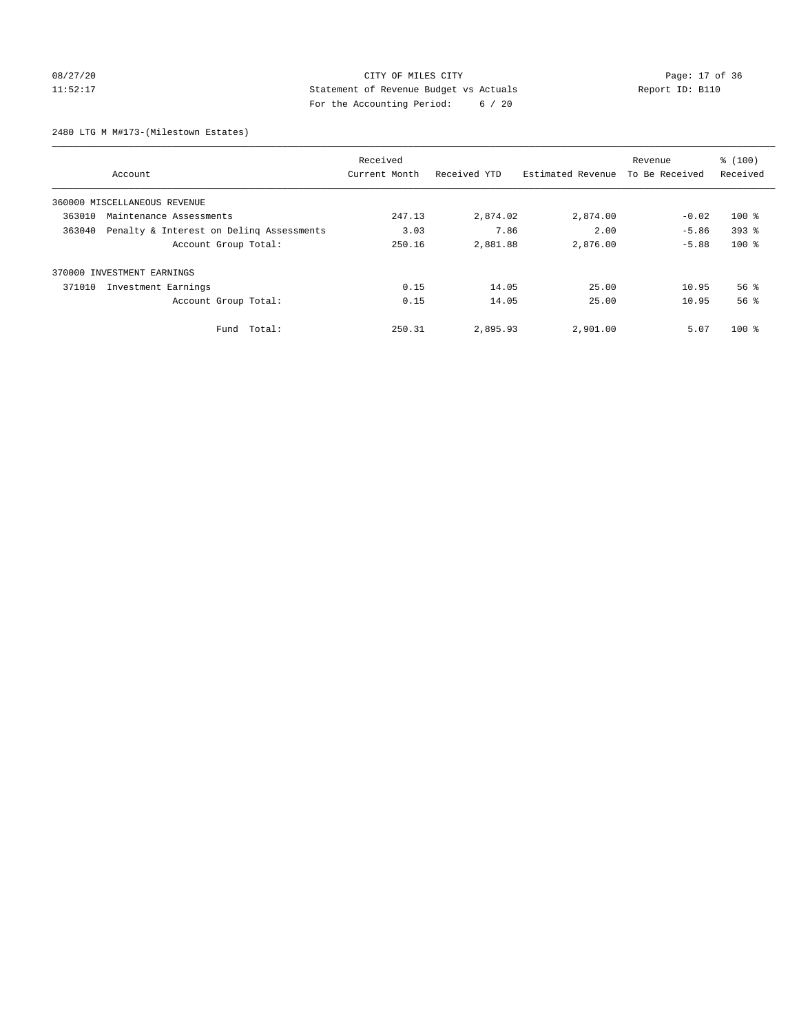# 08/27/20 Page: 17 of 36 11:52:17 Statement of Revenue Budget vs Actuals Report ID: B110 For the Accounting Period: 6 / 20

2480 LTG M M#173-(Milestown Estates)

|        |                                          | Received      |              |                   | Revenue        | % (100)            |
|--------|------------------------------------------|---------------|--------------|-------------------|----------------|--------------------|
|        | Account                                  | Current Month | Received YTD | Estimated Revenue | To Be Received | Received           |
|        | 360000 MISCELLANEOUS REVENUE             |               |              |                   |                |                    |
| 363010 | Maintenance Assessments                  |               | 2,874.02     | 2,874.00          | $-0.02$        | $100*$             |
| 363040 | Penalty & Interest on Deling Assessments | 3.03          | 7.86         | 2.00              | $-5.86$        | $393$ $%$          |
|        | Account Group Total:                     | 250.16        | 2,881.88     | 2,876.00          | $-5.88$        | $100$ %            |
|        | 370000 INVESTMENT EARNINGS               |               |              |                   |                |                    |
| 371010 | Investment Earnings                      | 0.15          | 14.05        | 25.00             | 10.95          | $56$ $\frac{6}{3}$ |
|        | Account Group Total:                     | 0.15          | 14.05        | 25.00             | 10.95          | 56 <sup>8</sup>    |
|        | Fund Total:                              | 250.31        | 2,895.93     | 2,901.00          | 5.07           | $100*$             |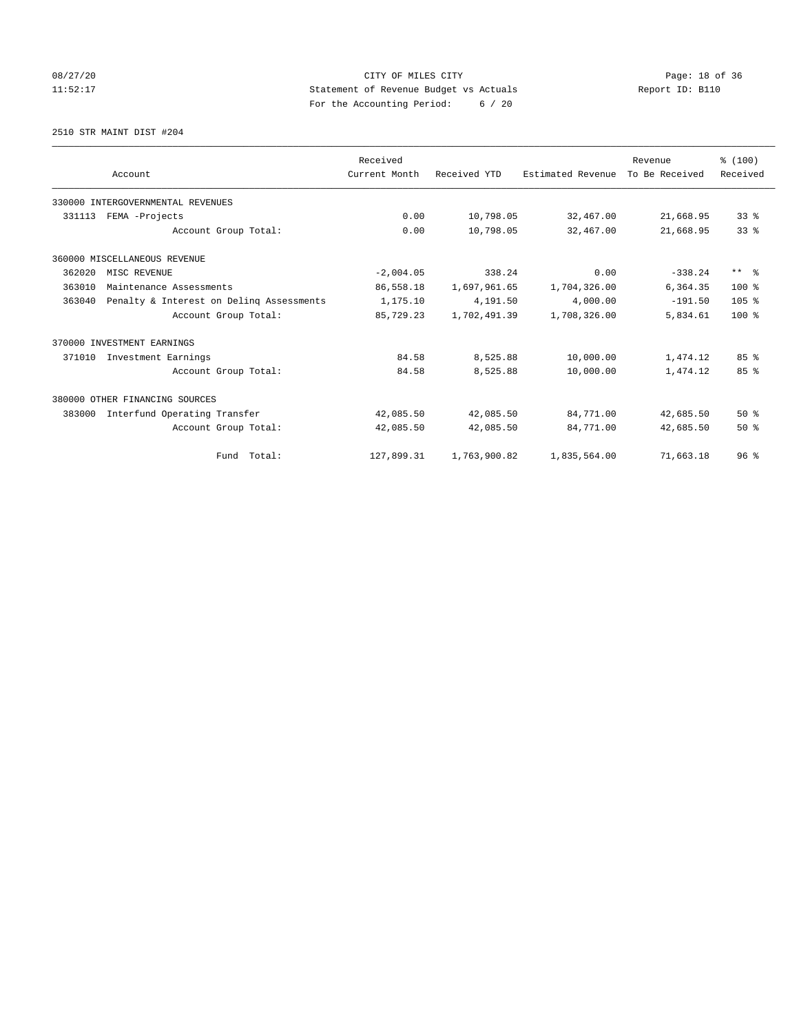# 08/27/20 Page: 18 of 36 CITY OF MILES CITY 11:52:17 Statement of Revenue Budget vs Actuals Report ID: B110 For the Accounting Period: 6 / 20

2510 STR MAINT DIST #204

|        |                                          | Received      |              |                   | Revenue        | % (100)          |
|--------|------------------------------------------|---------------|--------------|-------------------|----------------|------------------|
|        | Account                                  | Current Month | Received YTD | Estimated Revenue | To Be Received | Received         |
|        | 330000 INTERGOVERNMENTAL REVENUES        |               |              |                   |                |                  |
| 331113 | FEMA -Projects                           | 0.00          | 10,798.05    | 32,467.00         | 21,668.95      | $33$ $%$         |
|        | Account Group Total:                     | 0.00          | 10,798.05    | 32,467.00         | 21,668.95      | 33 <sup>8</sup>  |
|        | 360000 MISCELLANEOUS REVENUE             |               |              |                   |                |                  |
| 362020 | MISC REVENUE                             | $-2,004.05$   | 338.24       | 0.00              | $-338.24$      | $***$ $ -$       |
| 363010 | Maintenance Assessments                  | 86,558.18     | 1,697,961.65 | 1,704,326.00      | 6,364.35       | $100*$           |
| 363040 | Penalty & Interest on Deling Assessments | 1,175.10      | 4,191.50     | 4,000.00          | $-191.50$      | 105 <sub>8</sub> |
|        | Account Group Total:                     | 85,729.23     | 1,702,491.39 | 1,708,326.00      | 5,834.61       | $100*$           |
|        | 370000 INVESTMENT EARNINGS               |               |              |                   |                |                  |
| 371010 | Investment Earnings                      | 84.58         | 8,525.88     | 10,000.00         | 1,474.12       | 85%              |
|        | Account Group Total:                     | 84.58         | 8,525.88     | 10,000.00         | 1,474.12       | 85%              |
|        | 380000 OTHER FINANCING SOURCES           |               |              |                   |                |                  |
| 383000 | Interfund Operating Transfer             | 42,085.50     | 42,085.50    | 84,771.00         | 42,685.50      | $50*$            |
|        | Account Group Total:                     | 42,085.50     | 42,085.50    | 84,771.00         | 42,685.50      | $50*$            |
|        | Fund Total:                              | 127,899.31    | 1,763,900.82 | 1,835,564.00      | 71,663.18      | 96 <sup>8</sup>  |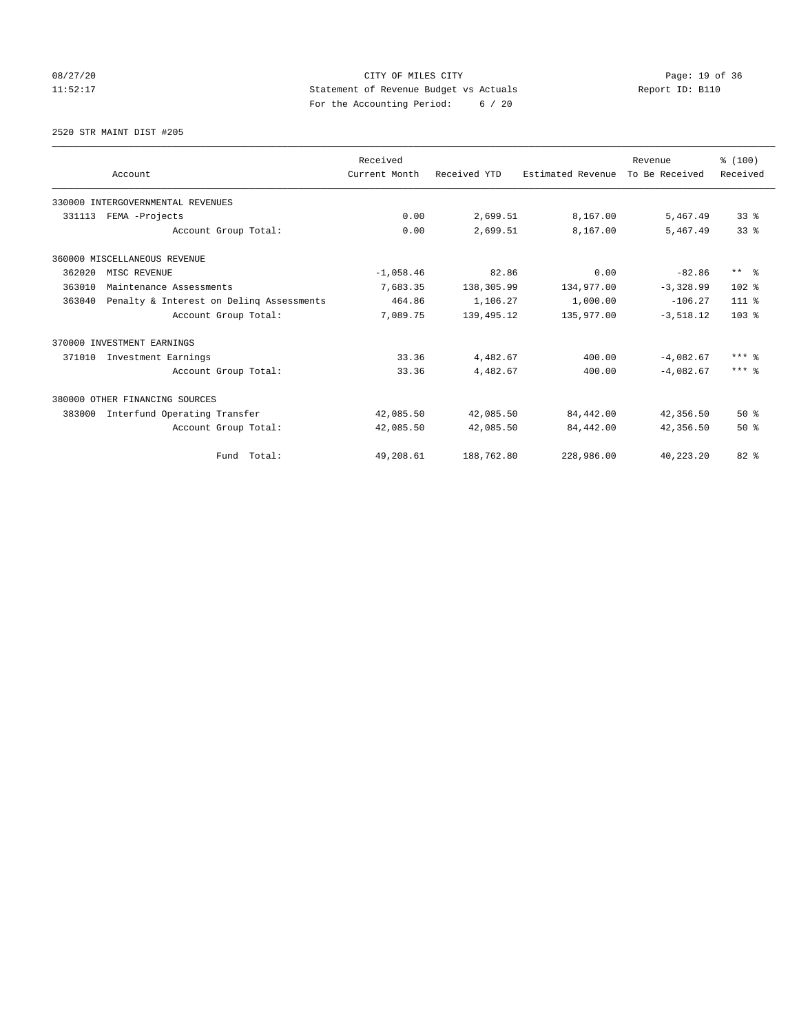# 08/27/20 Page: 19 of 36 11:52:17 Statement of Revenue Budget vs Actuals Report ID: B110 For the Accounting Period: 6 / 20

2520 STR MAINT DIST #205

|        |                                          | Received      |              |                   | Revenue        | % (100)                 |
|--------|------------------------------------------|---------------|--------------|-------------------|----------------|-------------------------|
|        | Account                                  | Current Month | Received YTD | Estimated Revenue | To Be Received | Received                |
|        | 330000 INTERGOVERNMENTAL REVENUES        |               |              |                   |                |                         |
| 331113 | FEMA -Projects                           | 0.00          | 2,699.51     | 8,167.00          | 5,467.49       | 338                     |
|        | Account Group Total:                     | 0.00          | 2,699.51     | 8,167.00          | 5,467.49       | 33 <sup>8</sup>         |
|        | 360000 MISCELLANEOUS REVENUE             |               |              |                   |                |                         |
| 362020 | MISC REVENUE                             | $-1,058.46$   | 82.86        | 0.00              | $-82.86$       | $***$ $=$ $\frac{6}{5}$ |
| 363010 | Maintenance Assessments                  | 7,683.35      | 138,305.99   | 134,977.00        | $-3,328.99$    | $102*$                  |
| 363040 | Penalty & Interest on Deling Assessments | 464.86        | 1,106.27     | 1,000.00          | $-106.27$      | $111*$                  |
|        | Account Group Total:                     | 7,089.75      | 139, 495. 12 | 135,977.00        | $-3,518.12$    | 103 <sub>8</sub>        |
|        | 370000 INVESTMENT EARNINGS               |               |              |                   |                |                         |
| 371010 | Investment Earnings                      | 33.36         | 4,482.67     | 400.00            | $-4,082.67$    | $***$ $%$               |
|        | Account Group Total:                     | 33.36         | 4,482.67     | 400.00            | $-4.082.67$    | $***$ %                 |
|        | 380000 OTHER FINANCING SOURCES           |               |              |                   |                |                         |
| 383000 | Interfund Operating Transfer             | 42,085.50     | 42,085.50    | 84,442.00         | 42,356.50      | $50*$                   |
|        | Account Group Total:                     | 42,085.50     | 42,085.50    | 84,442.00         | 42,356.50      | $50*$                   |
|        | Fund Total:                              | 49,208.61     | 188,762.80   | 228,986.00        | 40,223.20      | 82 %                    |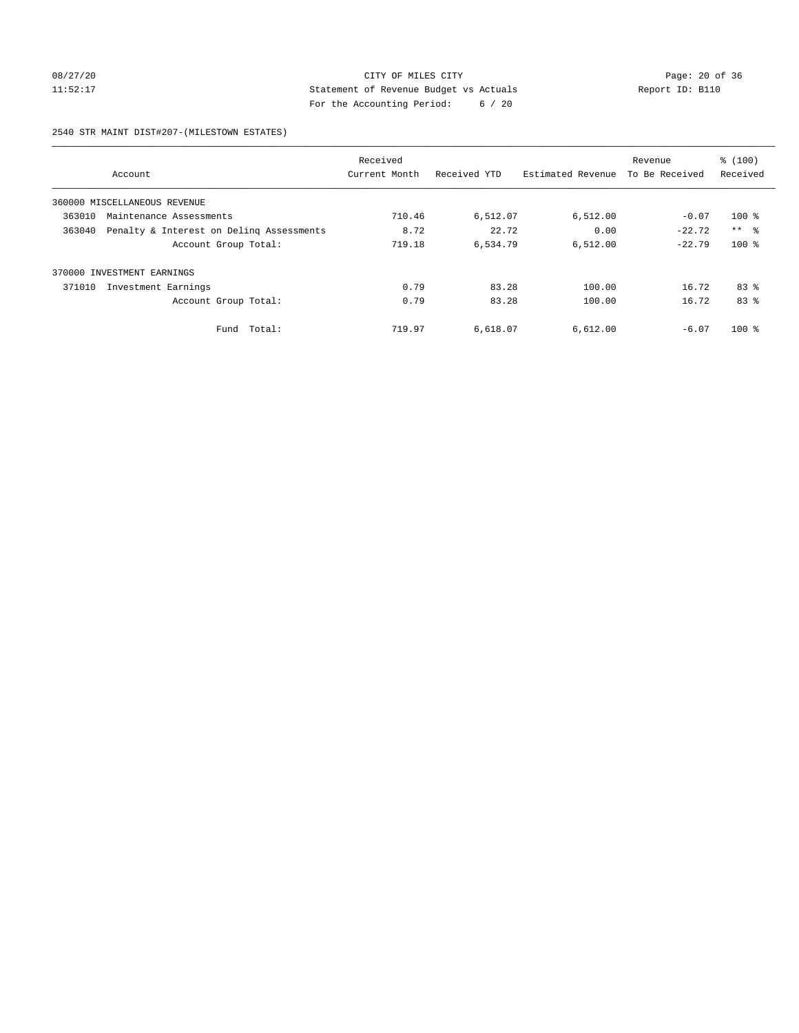# 08/27/20 Page: 20 of 36 11:52:17 Statement of Revenue Budget vs Actuals Report ID: B110 For the Accounting Period: 6 / 20

### 2540 STR MAINT DIST#207-(MILESTOWN ESTATES)

|        |                                          | Received      |              |                   | Revenue                                                                        | % (100)         |
|--------|------------------------------------------|---------------|--------------|-------------------|--------------------------------------------------------------------------------|-----------------|
|        | Account                                  | Current Month | Received YTD | Estimated Revenue | To Be Received<br>$-0.07$<br>$-22.72$<br>$-22.79$<br>16.72<br>16.72<br>$-6.07$ | Received        |
|        | 360000 MISCELLANEOUS REVENUE             |               |              |                   |                                                                                |                 |
| 363010 | Maintenance Assessments                  | 710.46        | 6,512.07     | 6,512.00          |                                                                                | $100*$          |
| 363040 | Penalty & Interest on Deling Assessments | 8.72          | 22.72        | 0.00              |                                                                                | $***$ $\approx$ |
|        | Account Group Total:                     | 719.18        | 6,534.79     | 6.512.00          |                                                                                | $100*$          |
| 370000 | INVESTMENT EARNINGS                      |               |              |                   |                                                                                |                 |
| 371010 | Investment Earnings                      | 0.79          | 83.28        | 100.00            |                                                                                | $83*$           |
|        | Account Group Total:                     | 0.79          | 83.28        | 100.00            |                                                                                | 83%             |
|        | Total:<br>Fund                           | 719.97        | 6,618.07     | 6,612.00          |                                                                                | $100*$          |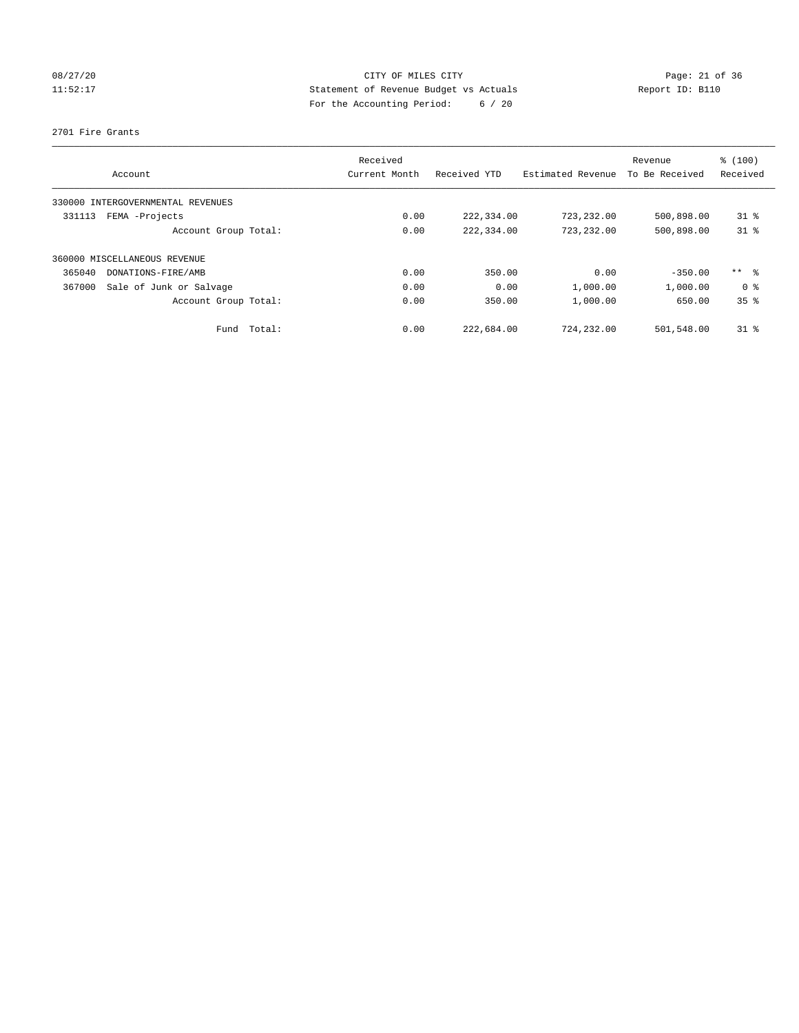# 08/27/20 Page: 21 of 36 11:52:17 Statement of Revenue Budget vs Actuals Report ID: B110 For the Accounting Period: 6 / 20

## 2701 Fire Grants

|        | Account                      | Received<br>Current Month | Received YTD | Estimated Revenue | Revenue<br>To Be Received | % (100)<br>Received |
|--------|------------------------------|---------------------------|--------------|-------------------|---------------------------|---------------------|
| 330000 | INTERGOVERNMENTAL REVENUES   |                           |              |                   |                           |                     |
| 331113 | FEMA -Projects               | 0.00                      | 222,334.00   | 723,232.00        | 500,898.00                | $31*$               |
|        | Account Group Total:         | 0.00                      | 222,334.00   | 723,232.00        | 500,898.00                | $31*$               |
|        | 360000 MISCELLANEOUS REVENUE |                           |              |                   |                           |                     |
| 365040 | DONATIONS-FIRE/AMB           | 0.00                      | 350.00       | 0.00              | $-350.00$                 | $***$ $\approx$     |
| 367000 | Sale of Junk or Salvage      | 0.00                      | 0.00         | 1,000.00          | 1,000.00                  | 0 <sup>8</sup>      |
|        | Account Group Total:         | 0.00                      | 350.00       | 1,000.00          | 650.00                    | 35 <sup>8</sup>     |
|        | Total:<br>Fund               | 0.00                      | 222,684.00   | 724,232.00        | 501,548.00                | $31*$               |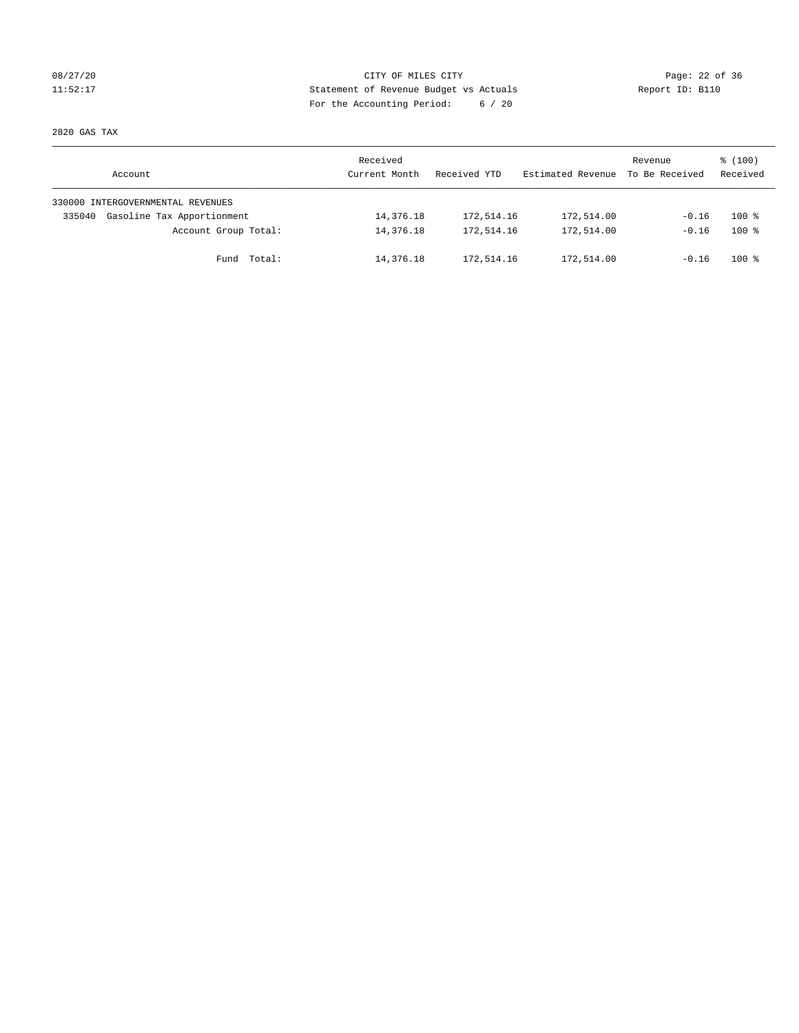# 08/27/20 Page: 22 of 36 11:52:17 Statement of Revenue Budget vs Actuals Report ID: B110 For the Accounting Period: 6 / 20

2820 GAS TAX

| Account                              | Received<br>Current Month | Received YTD | Estimated Revenue | Revenue<br>To Be Received | $\frac{100}{3}$<br>Received |
|--------------------------------------|---------------------------|--------------|-------------------|---------------------------|-----------------------------|
| 330000 INTERGOVERNMENTAL REVENUES    |                           |              |                   |                           |                             |
| Gasoline Tax Apportionment<br>335040 | 14,376.18                 | 172,514.16   | 172,514.00        | $-0.16$                   | $100*$                      |
| Account Group Total:                 | 14,376.18                 | 172,514.16   | 172,514.00        | $-0.16$                   | $100*$                      |
| Fund Total:                          | 14,376.18                 | 172,514.16   | 172,514.00        | $-0.16$                   | $100*$                      |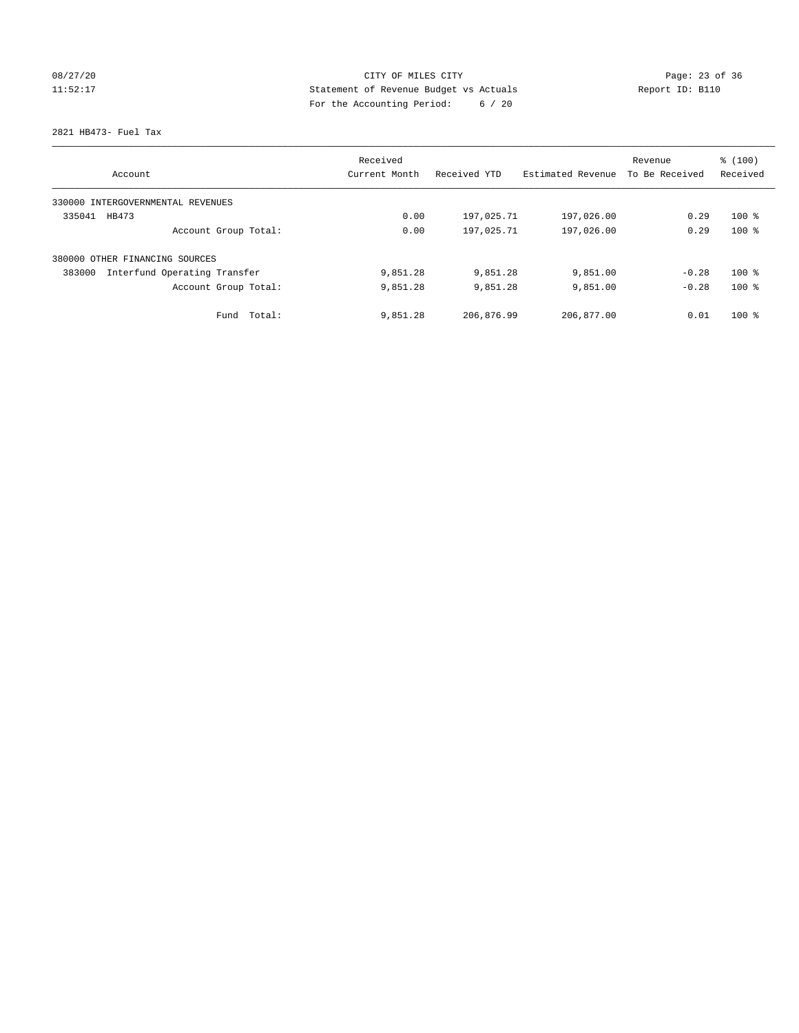# 08/27/20 Page: 23 of 36 11:52:17 Statement of Revenue Budget vs Actuals Report ID: B110 For the Accounting Period: 6 / 20

2821 HB473- Fuel Tax

| Account                                | Received<br>Current Month | Received YTD | Estimated Revenue | Revenue<br>To Be Received | % (100)<br>Received |
|----------------------------------------|---------------------------|--------------|-------------------|---------------------------|---------------------|
|                                        |                           |              |                   |                           |                     |
| 330000 INTERGOVERNMENTAL REVENUES      |                           |              |                   |                           |                     |
| 335041<br>HB473                        | 0.00                      | 197,025.71   | 197,026.00        | 0.29                      | $100*$              |
| Account Group Total:                   | 0.00                      | 197,025.71   | 197,026.00        | 0.29                      | $100*$              |
| 380000 OTHER FINANCING SOURCES         |                           |              |                   |                           |                     |
| Interfund Operating Transfer<br>383000 | 9,851.28                  | 9,851.28     | 9,851.00          | $-0.28$                   | $100*$              |
| Account Group Total:                   | 9,851.28                  | 9,851.28     | 9,851.00          | $-0.28$                   | $100*$              |
| Total:<br>Fund                         | 9,851.28                  | 206,876.99   | 206,877.00        | 0.01                      | $100*$              |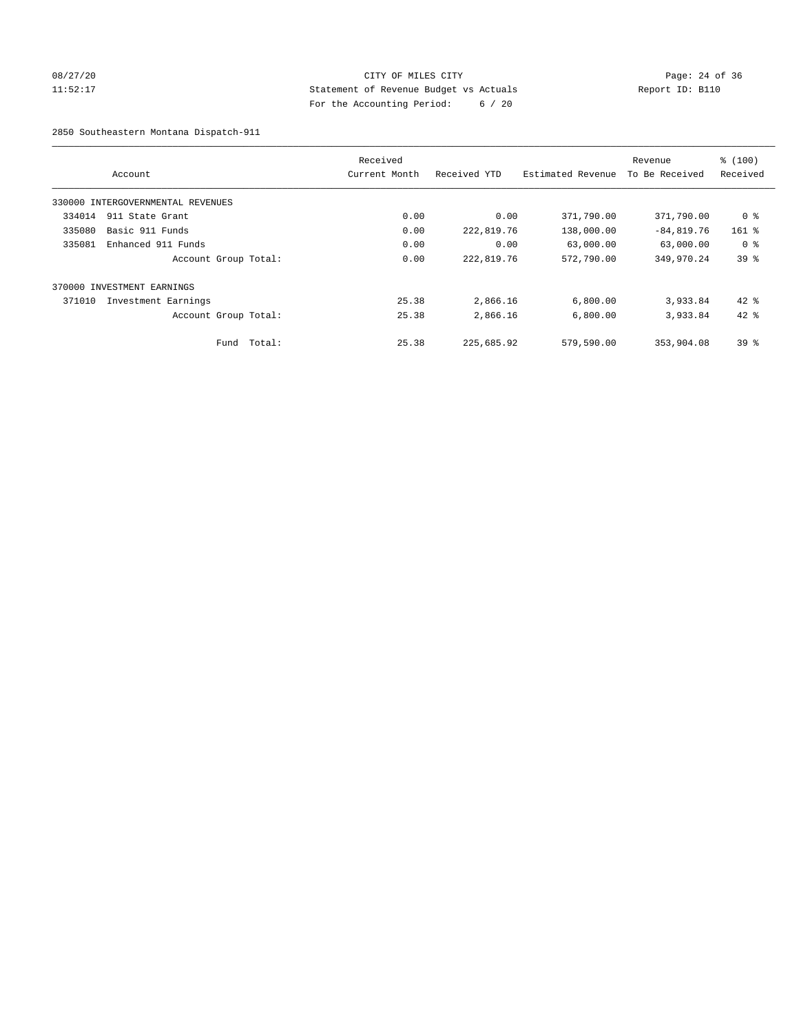# 08/27/20 Page: 24 of 36 11:52:17 Statement of Revenue Budget vs Actuals Report ID: B110 For the Accounting Period: 6 / 20

2850 Southeastern Montana Dispatch-911

|        | Account                           |        | Received<br>Current Month | Received YTD | Estimated Revenue | Revenue<br>To Be Received | % (100)<br>Received |
|--------|-----------------------------------|--------|---------------------------|--------------|-------------------|---------------------------|---------------------|
|        | 330000 INTERGOVERNMENTAL REVENUES |        |                           |              |                   |                           |                     |
| 334014 | 911 State Grant                   |        | 0.00                      | 0.00         | 371,790.00        | 371,790.00                | 0 <sup>8</sup>      |
| 335080 | Basic 911 Funds                   |        | 0.00                      | 222,819.76   | 138,000.00        | $-84,819.76$              | $161$ %             |
| 335081 | Enhanced 911 Funds                |        | 0.00                      | 0.00         | 63,000.00         | 63,000.00                 | 0 <sup>8</sup>      |
|        | Account Group Total:              |        | 0.00                      | 222,819.76   | 572,790.00        | 349,970.24                | 39 <sup>8</sup>     |
|        | 370000 INVESTMENT EARNINGS        |        |                           |              |                   |                           |                     |
| 371010 | Investment Earnings               |        | 25.38                     | 2,866.16     | 6,800.00          | 3,933.84                  | $42$ %              |
|        | Account Group Total:              |        | 25.38                     | 2,866.16     | 6,800.00          | 3,933.84                  | $42*$               |
|        | Fund                              | Total: | 25.38                     | 225,685.92   | 579,590.00        | 353,904.08                | 39 <sup>8</sup>     |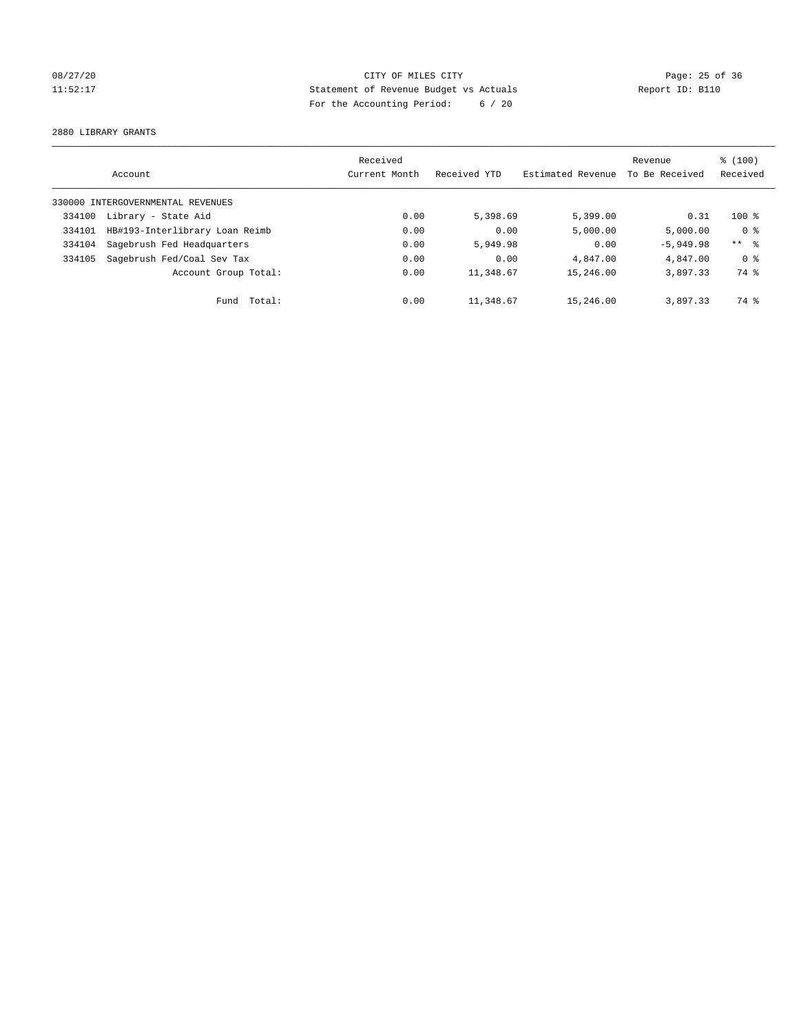# 08/27/20 Page: 25 of 36 11:52:17 Statement of Revenue Budget vs Actuals Report ID: B110 For the Accounting Period: 6 / 20

2880 LIBRARY GRANTS

|        |                                   | Received      |              |                   | Revenue        | $\frac{100}{3}$ |
|--------|-----------------------------------|---------------|--------------|-------------------|----------------|-----------------|
|        | Account                           | Current Month | Received YTD | Estimated Revenue | To Be Received | Received        |
|        | 330000 INTERGOVERNMENTAL REVENUES |               |              |                   |                |                 |
| 334100 | Library - State Aid               | 0.00          | 5,398.69     | 5,399.00          | 0.31           | $100*$          |
| 334101 | HB#193-Interlibrary Loan Reimb    | 0.00          | 0.00         | 5,000.00          | 5.000.00       | 0 <sup>8</sup>  |
| 334104 | Sagebrush Fed Headquarters        | 0.00          | 5,949.98     | 0.00              | $-5,949.98$    | $***$ $ -$      |
| 334105 | Sagebrush Fed/Coal Sev Tax        | 0.00          | 0.00         | 4,847.00          | 4,847.00       | 0 <sup>8</sup>  |
|        | Account Group Total:              | 0.00          | 11,348.67    | 15,246.00         | 3,897.33       | 74 %            |
|        | Fund Total:                       | 0.00          | 11,348.67    | 15,246.00         | 3,897.33       | 74 %            |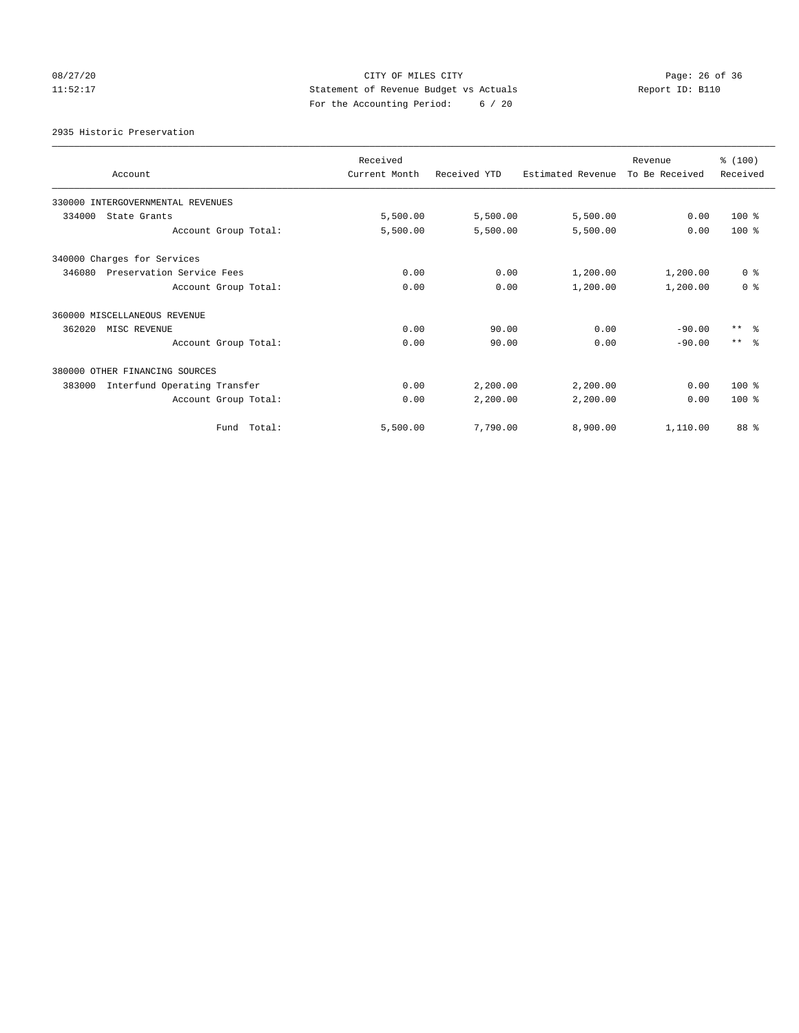# 08/27/20 Page: 26 of 36 11:52:17 Statement of Revenue Budget vs Actuals Report ID: B110 For the Accounting Period: 6 / 20

2935 Historic Preservation

| Account                                | Received<br>Current Month | Received YTD | Estimated Revenue | Revenue<br>To Be Received | % (100)<br>Received |
|----------------------------------------|---------------------------|--------------|-------------------|---------------------------|---------------------|
| 330000 INTERGOVERNMENTAL REVENUES      |                           |              |                   |                           |                     |
| 334000<br>State Grants                 | 5,500.00                  | 5,500.00     | 5,500.00          | 0.00                      | $100$ %             |
| Account Group Total:                   | 5,500.00                  | 5,500.00     | 5,500.00          | 0.00                      | $100*$              |
| 340000 Charges for Services            |                           |              |                   |                           |                     |
| 346080<br>Preservation Service Fees    | 0.00                      | 0.00         | 1,200.00          | 1,200.00                  | 0 <sup>8</sup>      |
| Account Group Total:                   | 0.00                      | 0.00         | 1,200.00          | 1,200.00                  | 0 <sup>8</sup>      |
| 360000 MISCELLANEOUS REVENUE           |                           |              |                   |                           |                     |
| 362020<br>MISC REVENUE                 | 0.00                      | 90.00        | 0.00              | $-90.00$                  | $***$ $\approx$     |
| Account Group Total:                   | 0.00                      | 90.00        | 0.00              | $-90.00$                  | $***$ $\approx$     |
| 380000 OTHER FINANCING SOURCES         |                           |              |                   |                           |                     |
| Interfund Operating Transfer<br>383000 | 0.00                      | 2,200.00     | 2,200.00          | 0.00                      | 100 %               |
| Account Group Total:                   | 0.00                      | 2,200.00     | 2,200.00          | 0.00                      | $100*$              |
| Fund Total:                            | 5,500.00                  | 7,790.00     | 8,900.00          | 1,110.00                  | 88 %                |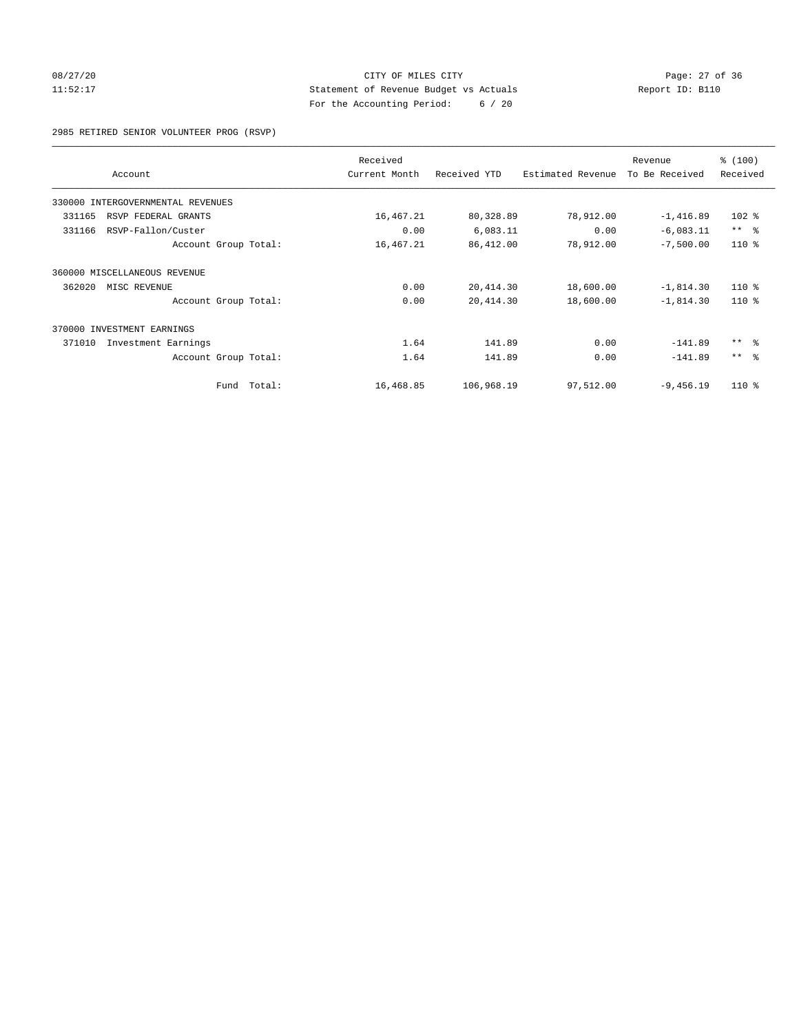# 08/27/20 Page: 27 of 36 11:52:17 Statement of Revenue Budget vs Actuals Report ID: B110 For the Accounting Period: 6 / 20

2985 RETIRED SENIOR VOLUNTEER PROG (RSVP)

|                                   | Received      |              |                   | Revenue        | % (100)    |
|-----------------------------------|---------------|--------------|-------------------|----------------|------------|
| Account                           | Current Month | Received YTD | Estimated Revenue | To Be Received | Received   |
| 330000 INTERGOVERNMENTAL REVENUES |               |              |                   |                |            |
| 331165<br>RSVP FEDERAL GRANTS     | 16,467.21     | 80,328.89    | 78,912.00         | $-1,416.89$    | $102$ %    |
| 331166<br>RSVP-Fallon/Custer      | 0.00          | 6,083.11     | 0.00              | $-6,083.11$    | $***$ $ -$ |
| Account Group Total:              | 16,467.21     | 86,412.00    | 78,912.00         | $-7,500.00$    | $110*$     |
| 360000 MISCELLANEOUS REVENUE      |               |              |                   |                |            |
| 362020<br>MISC REVENUE            | 0.00          | 20, 414.30   | 18,600.00         | $-1,814.30$    | $110*$     |
| Account Group Total:              | 0.00          | 20, 414.30   | 18,600.00         | $-1,814.30$    | $110*$     |
| 370000<br>INVESTMENT EARNINGS     |               |              |                   |                |            |
| 371010<br>Investment Earnings     | 1.64          | 141.89       | 0.00              | $-141.89$      | $***$ $ -$ |
| Account Group Total:              | 1.64          | 141.89       | 0.00              | $-141.89$      | $***$ $ -$ |
| Fund Total:                       | 16,468.85     | 106,968.19   | 97,512.00         | $-9,456.19$    | $110*$     |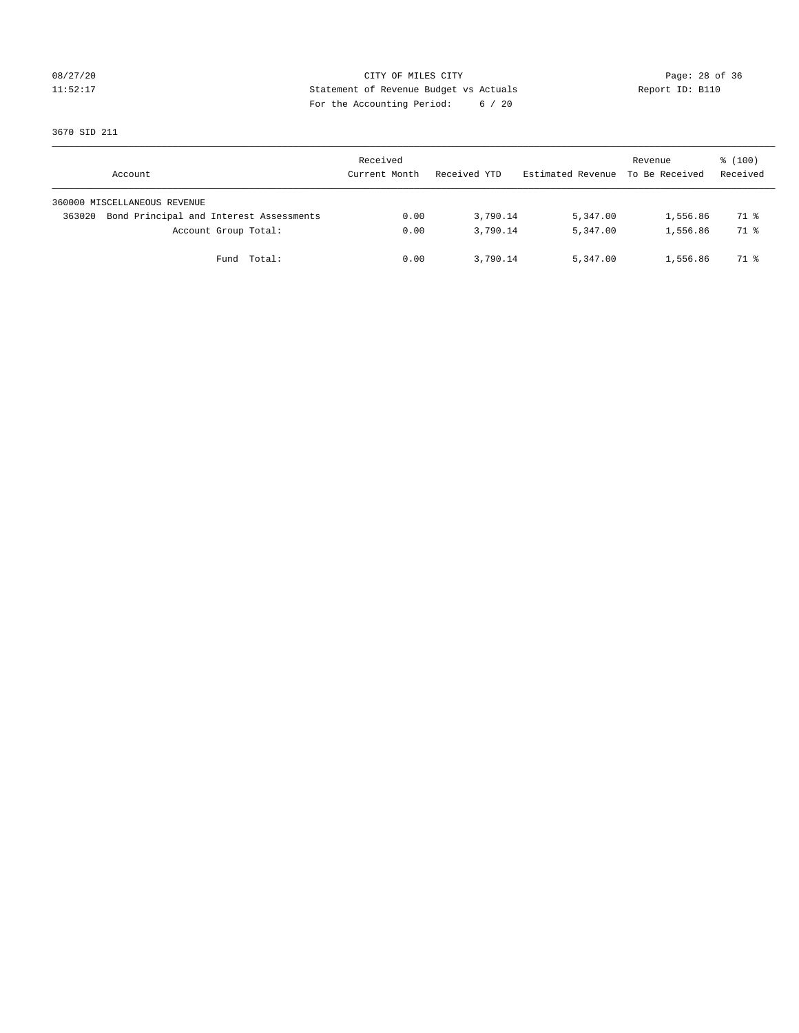# 08/27/20 Page: 28 of 36 11:52:17 Statement of Revenue Budget vs Actuals Report ID: B110 For the Accounting Period: 6 / 20

3670 SID 211

| Account                                           | Received<br>Current Month | Received YTD | Estimated Revenue To Be Received | Revenue  | $\frac{100}{3}$<br>Received |
|---------------------------------------------------|---------------------------|--------------|----------------------------------|----------|-----------------------------|
| 360000 MISCELLANEOUS REVENUE                      |                           |              |                                  |          |                             |
| Bond Principal and Interest Assessments<br>363020 | 0.00                      | 3,790.14     | 5,347.00                         | 1,556.86 | 71 %                        |
| Account Group Total:                              | 0.00                      | 3,790.14     | 5,347.00                         | 1,556.86 | 71 %                        |
| Fund Total:                                       | 0.00                      | 3,790.14     | 5,347.00                         | 1,556.86 | 71 %                        |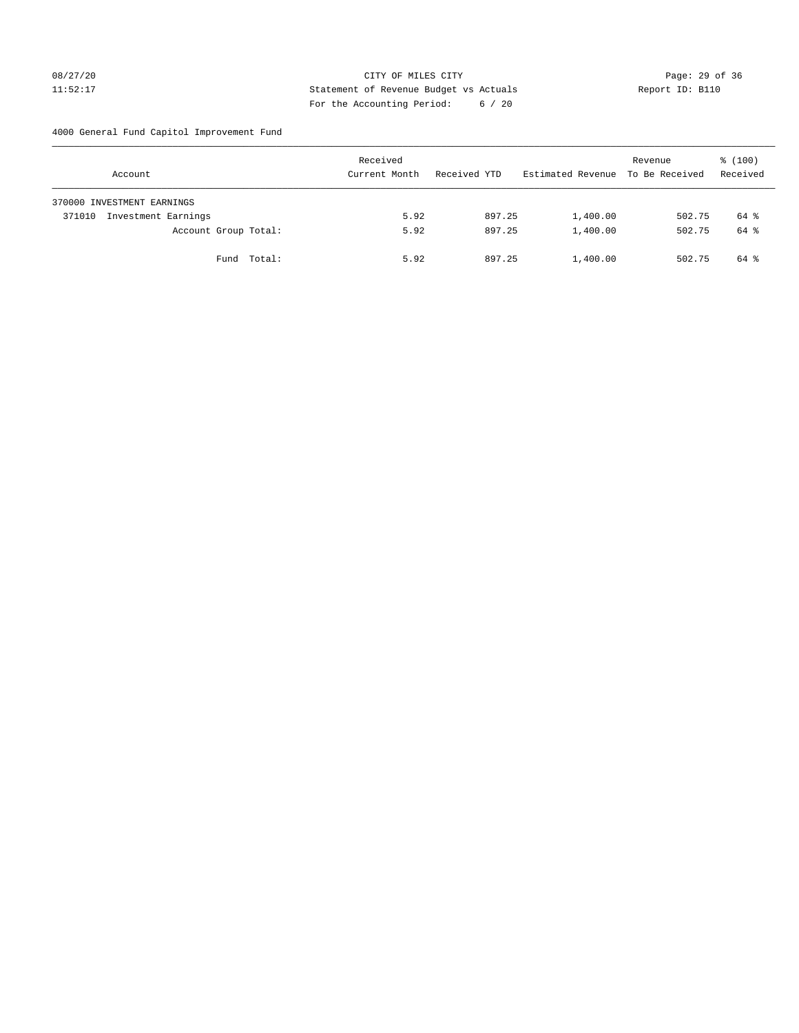# 08/27/20 Page: 29 of 36 11:52:17 Statement of Revenue Budget vs Actuals Report ID: B110 For the Accounting Period: 6 / 20

4000 General Fund Capitol Improvement Fund

| Account                       | Received<br>Current Month | Received YTD | Estimated Revenue | Revenue<br>To Be Received | % (100)<br>Received |
|-------------------------------|---------------------------|--------------|-------------------|---------------------------|---------------------|
| 370000 INVESTMENT EARNINGS    |                           |              |                   |                           |                     |
| Investment Earnings<br>371010 | 5.92                      | 897.25       | 1,400.00          | 502.75                    | 64 %                |
| Account Group Total:          | 5.92                      | 897.25       | 1,400.00          | 502.75                    | 64 %                |
| Fund Total:                   | 5.92                      | 897.25       | 1,400.00          | 502.75                    | 64 %                |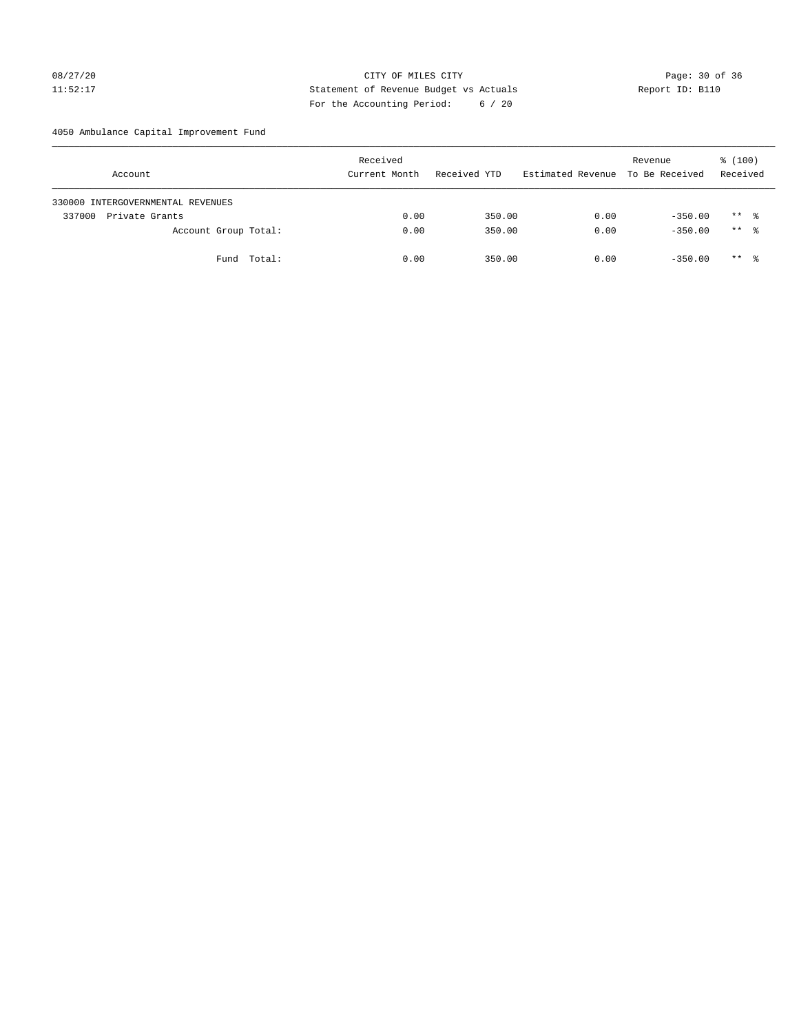# 08/27/20 Page: 30 of 36 11:52:17 Statement of Revenue Budget vs Actuals Report ID: B110 For the Accounting Period: 6 / 20

4050 Ambulance Capital Improvement Fund

| Account                           | Received<br>Current Month | Received YTD | Estimated Revenue | Revenue<br>To Be Received | $\frac{100}{3}$<br>Received |
|-----------------------------------|---------------------------|--------------|-------------------|---------------------------|-----------------------------|
| 330000 INTERGOVERNMENTAL REVENUES |                           |              |                   |                           |                             |
| 337000<br>Private Grants          | 0.00                      | 350.00       | 0.00              | $-350.00$                 | $***$ %                     |
| Account Group Total:              | 0.00                      | 350.00       | 0.00              | $-350.00$                 | $***$ %                     |
| Fund Total:                       | 0.00                      | 350.00       | 0.00              | $-350.00$                 | ** *                        |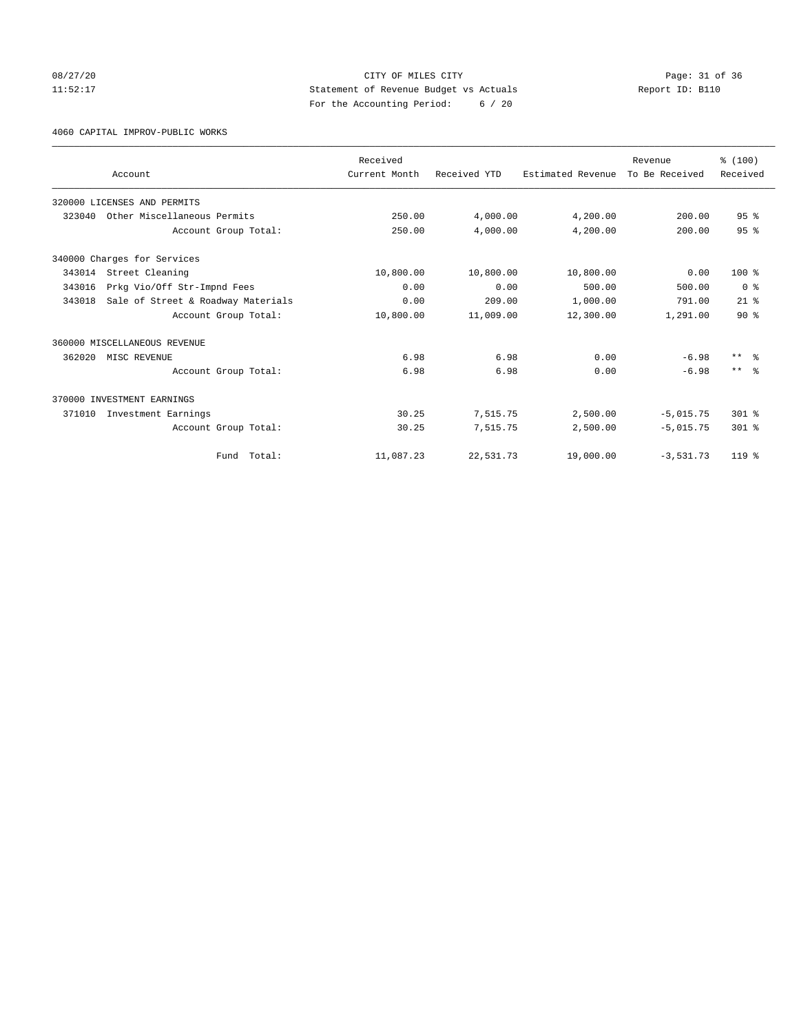# 08/27/20 Page: 31 of 36 11:52:17 Statement of Revenue Budget vs Actuals Report ID: B110 For the Accounting Period: 6 / 20

4060 CAPITAL IMPROV-PUBLIC WORKS

|        |                                    | Received      |              |                   | Revenue        | % (100)                 |
|--------|------------------------------------|---------------|--------------|-------------------|----------------|-------------------------|
|        | Account                            | Current Month | Received YTD | Estimated Revenue | To Be Received | Received                |
|        | 320000 LICENSES AND PERMITS        |               |              |                   |                |                         |
| 323040 | Other Miscellaneous Permits        | 250.00        | 4,000.00     | 4,200.00          | 200.00         | 95 <sup>8</sup>         |
|        | Account Group Total:               | 250.00        | 4,000.00     | 4,200.00          | 200.00         | 95 <sup>8</sup>         |
|        | 340000 Charges for Services        |               |              |                   |                |                         |
| 343014 | Street Cleaning                    | 10,800.00     | 10,800.00    | 10,800.00         | 0.00           | $100*$                  |
| 343016 | Prkg Vio/Off Str-Impnd Fees        | 0.00          | 0.00         | 500.00            | 500.00         | 0 <sup>8</sup>          |
| 343018 | Sale of Street & Roadway Materials | 0.00          | 209.00       | 1,000.00          | 791.00         | $21$ $%$                |
|        | Account Group Total:               | 10,800.00     | 11,009.00    | 12,300.00         | 1,291.00       | $90*$                   |
|        | 360000 MISCELLANEOUS REVENUE       |               |              |                   |                |                         |
| 362020 | MISC REVENUE                       | 6.98          | 6.98         | 0.00              | $-6.98$        | $***$ $=$ $\frac{6}{5}$ |
|        | Account Group Total:               | 6.98          | 6.98         | 0.00              | $-6.98$        | $***$ $=$               |
|        | 370000 INVESTMENT EARNINGS         |               |              |                   |                |                         |
| 371010 | Investment Earnings                | 30.25         | 7,515.75     | 2,500.00          | $-5,015.75$    | $301$ %                 |
|        | Account Group Total:               | 30.25         | 7,515.75     | 2,500.00          | $-5,015.75$    | $301$ %                 |
|        | Fund Total:                        | 11,087.23     | 22,531.73    | 19,000.00         | $-3,531.73$    | $119*$                  |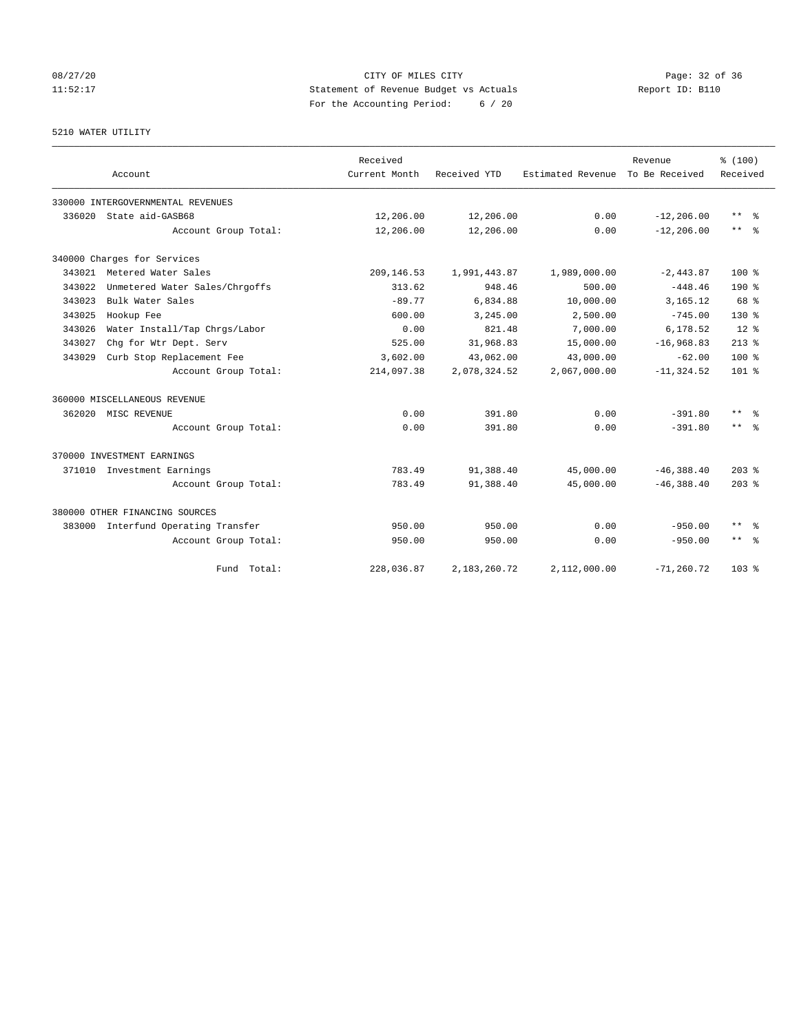# 08/27/20 Page: 32 of 36 11:52:17 Statement of Revenue Budget vs Actuals Report ID: B110 For the Accounting Period: 6 / 20

# 5210 WATER UTILITY

|        | Account                             | Received<br>Current Month | Received YTD | Estimated Revenue To Be Received | Revenue       | % (100)<br>Received     |
|--------|-------------------------------------|---------------------------|--------------|----------------------------------|---------------|-------------------------|
|        | 330000 INTERGOVERNMENTAL REVENUES   |                           |              |                                  |               |                         |
| 336020 | State aid-GASB68                    | 12,206.00                 | 12,206.00    | 0.00                             | $-12, 206.00$ | $***$ $%$               |
|        | Account Group Total:                | 12,206.00                 | 12,206.00    | 0.00                             | $-12, 206.00$ | $***$ $ -$              |
|        | 340000 Charges for Services         |                           |              |                                  |               |                         |
| 343021 | Metered Water Sales                 | 209, 146.53               | 1,991,443.87 | 1,989,000.00                     | $-2,443.87$   | $100*$                  |
| 343022 | Unmetered Water Sales/Chrgoffs      | 313.62                    | 948.46       | 500.00                           | $-448.46$     | $190*$                  |
| 343023 | Bulk Water Sales                    | $-89.77$                  | 6,834.88     | 10,000.00                        | 3,165.12      | 68 %                    |
| 343025 | Hookup Fee                          | 600.00                    | 3,245.00     | 2,500.00                         | $-745.00$     | $130*$                  |
| 343026 | Water Install/Tap Chrgs/Labor       | 0.00                      | 821.48       | 7,000.00                         | 6,178.52      | $12*$                   |
| 343027 | Chq for Wtr Dept. Serv              | 525.00                    | 31,968.83    | 15,000.00                        | $-16,968.83$  | $213*$                  |
| 343029 | Curb Stop Replacement Fee           | 3,602.00                  | 43,062.00    | 43,000.00                        | $-62.00$      | $100*$                  |
|        | Account Group Total:                | 214,097.38                | 2,078,324.52 | 2,067,000.00                     | $-11, 324.52$ | $101*$                  |
|        | 360000 MISCELLANEOUS REVENUE        |                           |              |                                  |               |                         |
| 362020 | MISC REVENUE                        | 0.00                      | 391.80       | 0.00                             | $-391.80$     | $***$ $=$ $\frac{6}{5}$ |
|        | Account Group Total:                | 0.00                      | 391.80       | 0.00                             | $-391.80$     | $***$ $ -$              |
|        | 370000 INVESTMENT EARNINGS          |                           |              |                                  |               |                         |
|        | 371010 Investment Earnings          | 783.49                    | 91,388.40    | 45,000.00                        | $-46, 388.40$ | $203$ $%$               |
|        | Account Group Total:                | 783.49                    | 91,388.40    | 45,000.00                        | $-46, 388.40$ | $203$ %                 |
|        | 380000 OTHER FINANCING SOURCES      |                           |              |                                  |               |                         |
|        | 383000 Interfund Operating Transfer | 950.00                    | 950.00       | 0.00                             | $-950.00$     | $\star\star$<br>- 옹     |
|        | Account Group Total:                | 950.00                    | 950.00       | 0.00                             | $-950.00$     | $***$ $=$ $\frac{6}{5}$ |
|        | Fund Total:                         | 228,036.87                | 2,183,260.72 | 2,112,000.00                     | $-71, 260.72$ | 103 <sub>8</sub>        |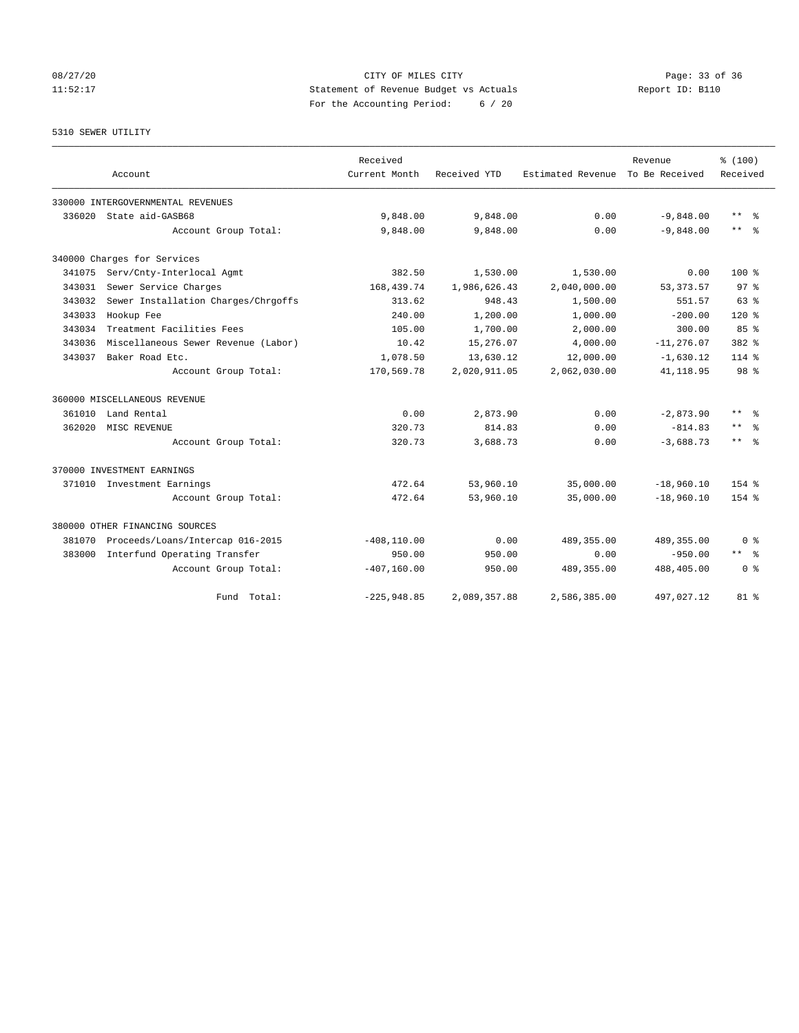# 08/27/20 Page: 33 of 36 Page: 33 of 36 Page: 33 of 36 Page: 33 of 36 Page: 33 of 36 Page: 33 of 36 Page: 33 of 36 11:52:17 Statement of Revenue Budget vs Actuals Report ID: B110 For the Accounting Period: 6 / 20

# 5310 SEWER UTILITY

|        | Account                             | Received<br>Current Month | Received YTD | Estimated Revenue | Revenue<br>To Be Received | % (100)<br>Received       |
|--------|-------------------------------------|---------------------------|--------------|-------------------|---------------------------|---------------------------|
|        |                                     |                           |              |                   |                           |                           |
|        | 330000 INTERGOVERNMENTAL REVENUES   |                           |              |                   |                           |                           |
| 336020 | State aid-GASB68                    | 9,848.00                  | 9,848.00     | 0.00              | $-9,848.00$               | $\star\star$<br>$\approx$ |
|        | Account Group Total:                | 9,848.00                  | 9,848.00     | 0.00              | $-9,848.00$               | $***$ $%$                 |
|        | 340000 Charges for Services         |                           |              |                   |                           |                           |
| 341075 | Serv/Cnty-Interlocal Agmt           | 382.50                    | 1,530.00     | 1,530.00          | 0.00                      | $100*$                    |
| 343031 | Sewer Service Charges               | 168, 439. 74              | 1,986,626.43 | 2,040,000.00      | 53, 373. 57               | 97 <sup>8</sup>           |
| 343032 | Sewer Installation Charges/Chrgoffs | 313.62                    | 948.43       | 1,500.00          | 551.57                    | $63$ $%$                  |
| 343033 | Hookup Fee                          | 240.00                    | 1,200.00     | 1,000.00          | $-200.00$                 | $120*$                    |
| 343034 | Treatment Facilities Fees           | 105.00                    | 1,700.00     | 2,000.00          | 300.00                    | 85%                       |
| 343036 | Miscellaneous Sewer Revenue (Labor) | 10.42                     | 15,276.07    | 4,000.00          | $-11, 276.07$             | $382$ $%$                 |
| 343037 | Baker Road Etc.                     | 1,078.50                  | 13,630.12    | 12,000.00         | $-1,630.12$               | $114*$                    |
|        | Account Group Total:                | 170,569.78                | 2,020,911.05 | 2,062,030.00      | 41, 118.95                | 98 %                      |
|        | 360000 MISCELLANEOUS REVENUE        |                           |              |                   |                           |                           |
| 361010 | Land Rental                         | 0.00                      | 2,873.90     | 0.00              | $-2,873.90$               | $\star\star$<br>$\approx$ |
| 362020 | MISC REVENUE                        | 320.73                    | 814.83       | 0.00              | $-814.83$                 | $\star\star$<br>- 응       |
|        | Account Group Total:                | 320.73                    | 3,688.73     | 0.00              | $-3,688.73$               | $***$<br>- 옹              |
|        | 370000 INVESTMENT EARNINGS          |                           |              |                   |                           |                           |
| 371010 | Investment Earnings                 | 472.64                    | 53,960.10    | 35,000.00         | $-18,960.10$              | $154$ %                   |
|        | Account Group Total:                | 472.64                    | 53,960.10    | 35,000.00         | $-18,960.10$              | $154$ %                   |
|        | 380000 OTHER FINANCING SOURCES      |                           |              |                   |                           |                           |
| 381070 | Proceeds/Loans/Intercap 016-2015    | $-408, 110.00$            | 0.00         | 489,355.00        | 489, 355.00               | 0 <sup>8</sup>            |
| 383000 | Interfund Operating Transfer        | 950.00                    | 950.00       | 0.00              | $-950.00$                 | $***$ $=$                 |
|        | Account Group Total:                | $-407, 160.00$            | 950.00       | 489, 355.00       | 488,405.00                | 0 <sup>8</sup>            |
|        | Fund<br>Total:                      | $-225,948.85$             | 2,089,357.88 | 2,586,385.00      | 497,027.12                | $81$ %                    |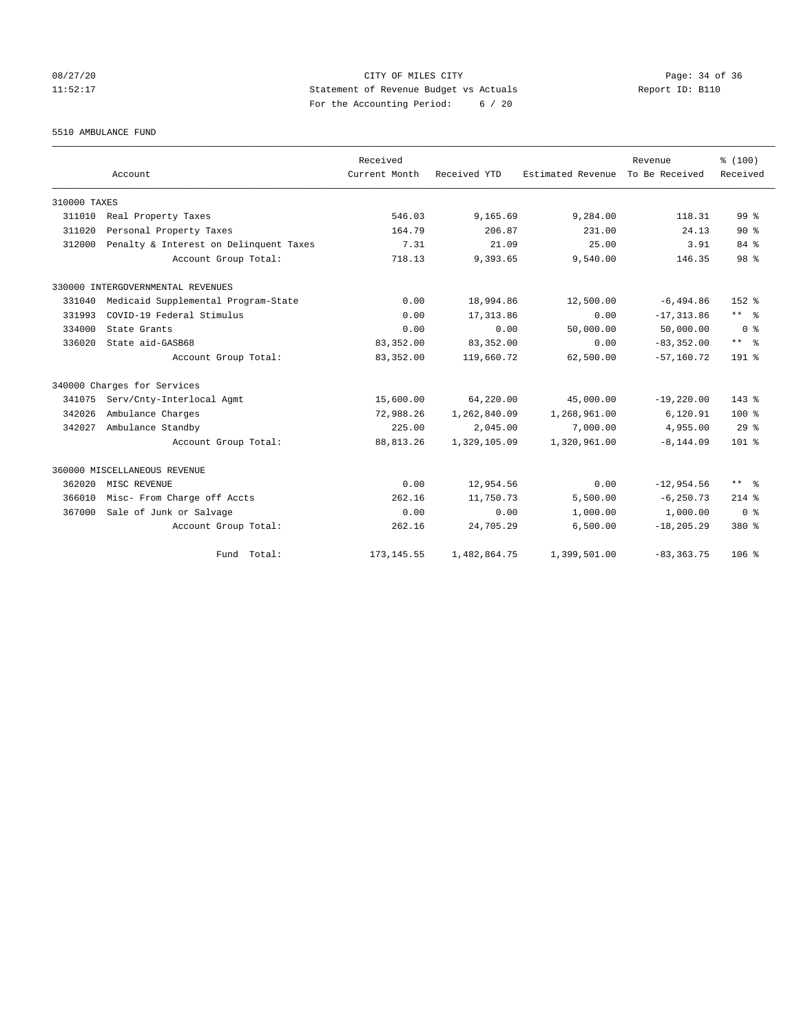# 08/27/20 Page: 34 of 36 Page: 34 of 36 Page: 34 of 36 Page: 34 of 36 Page: 34 Of 36 Page: 34 Of 36 Page: 34 Of 36 11:52:17 Statement of Revenue Budget vs Actuals Report ID: B110 For the Accounting Period: 6 / 20

5510 AMBULANCE FUND

|              | Account                                | Received<br>Current Month | Received YTD | Estimated Revenue | Revenue<br>To Be Received | % (100)<br>Received     |
|--------------|----------------------------------------|---------------------------|--------------|-------------------|---------------------------|-------------------------|
| 310000 TAXES |                                        |                           |              |                   |                           |                         |
| 311010       | Real Property Taxes                    | 546.03                    | 9,165.69     | 9,284.00          | 118.31                    | 99 <sup>8</sup>         |
| 311020       | Personal Property Taxes                | 164.79                    | 206.87       | 231.00            | 24.13                     | $90*$                   |
| 312000       | Penalty & Interest on Delinquent Taxes | 7.31                      | 21.09        | 25.00             | 3.91                      | 84 %                    |
|              | Account Group Total:                   | 718.13                    | 9,393.65     | 9,540.00          | 146.35                    | 98 %                    |
|              | 330000 INTERGOVERNMENTAL REVENUES      |                           |              |                   |                           |                         |
| 331040       | Medicaid Supplemental Program-State    | 0.00                      | 18,994.86    | 12,500.00         | $-6,494.86$               | $152$ $%$               |
| 331993       | COVID-19 Federal Stimulus              | 0.00                      | 17, 313.86   | 0.00              | $-17, 313.86$             | $***$ $%$               |
| 334000       | State Grants                           | 0.00                      | 0.00         | 50,000.00         | 50,000.00                 | 0 <sup>8</sup>          |
| 336020       | State aid-GASB68                       | 83, 352.00                | 83, 352.00   | 0.00              | $-83, 352.00$             | $***$ $%$               |
|              | Account Group Total:                   | 83, 352.00                | 119,660.72   | 62,500.00         | $-57, 160, 72$            | $191$ %                 |
|              | 340000 Charges for Services            |                           |              |                   |                           |                         |
| 341075       | Serv/Cnty-Interlocal Agmt              | 15,600.00                 | 64,220.00    | 45,000.00         | $-19,220.00$              | $143*$                  |
| 342026       | Ambulance Charges                      | 72,988.26                 | 1,262,840.09 | 1,268,961.00      | 6,120.91                  | $100*$                  |
| 342027       | Ambulance Standby                      | 225.00                    | 2,045.00     | 7,000.00          | 4,955.00                  | 29 <sup>8</sup>         |
|              | Account Group Total:                   | 88, 813. 26               | 1,329,105.09 | 1,320,961.00      | $-8, 144.09$              | $101$ %                 |
|              | 360000 MISCELLANEOUS REVENUE           |                           |              |                   |                           |                         |
| 362020       | MISC REVENUE                           | 0.00                      | 12,954.56    | 0.00              | $-12,954.56$              | $***$ $=$ $\frac{6}{5}$ |
| 366010       | Misc- From Charge off Accts            | 262.16                    | 11,750.73    | 5,500.00          | $-6, 250.73$              | $214$ %                 |
| 367000       | Sale of Junk or Salvage                | 0.00                      | 0.00         | 1,000.00          | 1,000.00                  | 0 <sup>8</sup>          |
|              | Account Group Total:                   | 262.16                    | 24,705.29    | 6,500.00          | $-18, 205.29$             | 380 %                   |
|              | Fund Total:                            | 173, 145.55               | 1,482,864.75 | 1,399,501.00      | $-83, 363, 75$            | $106$ %                 |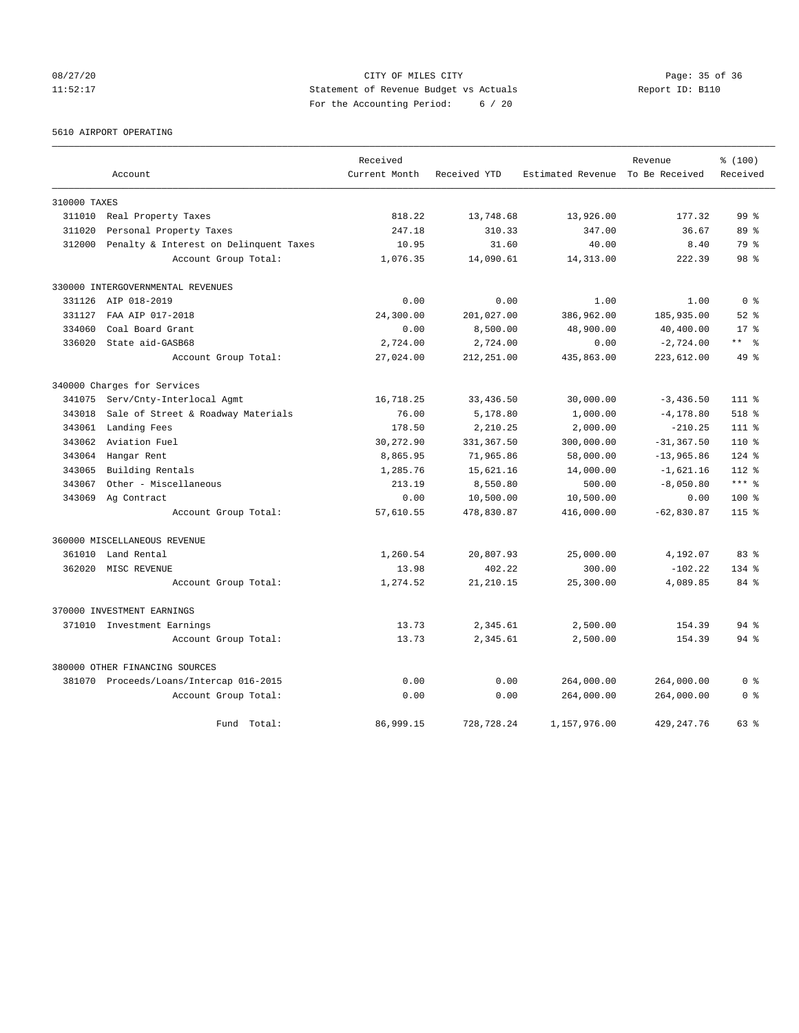# 08/27/20 Page: 35 of 36 CITY OF MILES CITY CONTROL PAGE: 35 of 36 11:52:17 Statement of Revenue Budget vs Actuals Report ID: B110 For the Accounting Period: 6 / 20

5610 AIRPORT OPERATING

|              |                                         | Received      |              |                                  | Revenue       | % (100)         |
|--------------|-----------------------------------------|---------------|--------------|----------------------------------|---------------|-----------------|
|              | Account                                 | Current Month | Received YTD | Estimated Revenue To Be Received |               | Received        |
| 310000 TAXES |                                         |               |              |                                  |               |                 |
| 311010       | Real Property Taxes                     | 818.22        | 13,748.68    | 13,926.00                        | 177.32        | 99 <sup>8</sup> |
| 311020       | Personal Property Taxes                 | 247.18        | 310.33       | 347.00                           | 36.67         | 89 %            |
| 312000       | Penalty & Interest on Delinquent Taxes  | 10.95         | 31.60        | 40.00                            | 8.40          | 79 %            |
|              | Account Group Total:                    | 1,076.35      | 14,090.61    | 14, 313.00                       | 222.39        | 98 %            |
|              | 330000 INTERGOVERNMENTAL REVENUES       |               |              |                                  |               |                 |
| 331126       | AIP 018-2019                            | 0.00          | 0.00         | 1.00                             | 1.00          | 0 <sup>8</sup>  |
| 331127       | FAA AIP 017-2018                        | 24,300.00     | 201,027.00   | 386,962.00                       | 185,935.00    | $52$ $%$        |
| 334060       | Coal Board Grant                        | 0.00          | 8,500.00     | 48,900.00                        | 40,400.00     | $17*$           |
| 336020       | State aid-GASB68                        | 2,724.00      | 2,724.00     | 0.00                             | $-2,724.00$   | ** 왕            |
|              | Account Group Total:                    | 27,024.00     | 212,251.00   | 435,863.00                       | 223,612.00    | $49*$           |
|              | 340000 Charges for Services             |               |              |                                  |               |                 |
| 341075       | Serv/Cnty-Interlocal Agmt               | 16,718.25     | 33,436.50    | 30,000.00                        | $-3,436.50$   | 111 %           |
| 343018       | Sale of Street & Roadway Materials      | 76.00         | 5,178.80     | 1,000.00                         | $-4, 178.80$  | $518$ %         |
| 343061       | Landing Fees                            | 178.50        | 2,210.25     | 2,000.00                         | $-210.25$     | $111*$          |
| 343062       | Aviation Fuel                           | 30,272.90     | 331, 367.50  | 300,000.00                       | $-31, 367.50$ | 110 %           |
| 343064       | Hangar Rent                             | 8,865.95      | 71,965.86    | 58,000.00                        | $-13,965.86$  | $124$ %         |
| 343065       | Building Rentals                        | 1,285.76      | 15,621.16    | 14,000.00                        | $-1,621.16$   | 112 %           |
| 343067       | Other - Miscellaneous                   | 213.19        | 8,550.80     | 500.00                           | $-8,050.80$   | $***$ $-$       |
| 343069       | Ag Contract                             | 0.00          | 10,500.00    | 10,500.00                        | 0.00          | $100*$          |
|              | Account Group Total:                    | 57,610.55     | 478,830.87   | 416,000.00                       | $-62,830.87$  | $115$ %         |
|              | 360000 MISCELLANEOUS REVENUE            |               |              |                                  |               |                 |
| 361010       | Land Rental                             | 1,260.54      | 20,807.93    | 25,000.00                        | 4,192.07      | 83%             |
| 362020       | MISC REVENUE                            | 13.98         | 402.22       | 300.00                           | $-102.22$     | 134 %           |
|              | Account Group Total:                    | 1,274.52      | 21, 210.15   | 25,300.00                        | 4,089.85      | 84 %            |
|              | 370000 INVESTMENT EARNINGS              |               |              |                                  |               |                 |
|              | 371010 Investment Earnings              | 13.73         | 2,345.61     | 2,500.00                         | 154.39        | 94 %            |
|              | Account Group Total:                    | 13.73         | 2,345.61     | 2,500.00                         | 154.39        | $94$ $%$        |
|              | 380000 OTHER FINANCING SOURCES          |               |              |                                  |               |                 |
|              | 381070 Proceeds/Loans/Intercap 016-2015 | 0.00          | 0.00         | 264,000.00                       | 264,000.00    | 0 <sup>8</sup>  |
|              | Account Group Total:                    | 0.00          | 0.00         | 264,000.00                       | 264,000.00    | 0 %             |
|              | Fund<br>Total:                          | 86,999.15     | 728,728.24   | 1,157,976.00                     | 429, 247. 76  | 63 %            |